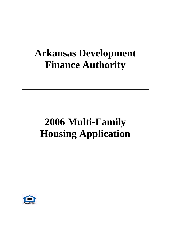# **Arkansas Development Finance Authority**

# **2006 Multi-Family Housing Application**

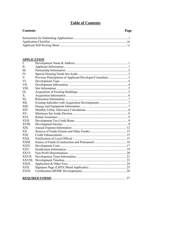### **Table of Contents**

### **Contents**

### Page

| $\cdots$ |
|----------|
|          |

#### **APPLICATION**

| L             |  |
|---------------|--|
| Π.            |  |
| III           |  |
| IV.           |  |
| V.            |  |
| VI            |  |
| VII-          |  |
| <b>VIII</b>   |  |
| IX            |  |
| X.            |  |
| XI            |  |
| XII.          |  |
| <b>XIII</b>   |  |
| XIV.          |  |
| XV            |  |
| <b>XVI</b>    |  |
| XVII.         |  |
| <b>XVIII</b>  |  |
| XIX.          |  |
| XX            |  |
| <b>XXI</b>    |  |
| <b>XXII</b>   |  |
| <b>XXIII</b>  |  |
| <b>XXIV</b>   |  |
| <b>XXV</b>    |  |
| <b>XXVI</b>   |  |
| XXVII.        |  |
| <b>XXVIII</b> |  |
| XXIX.         |  |
| XXX .         |  |
| <b>XXXI</b>   |  |
|               |  |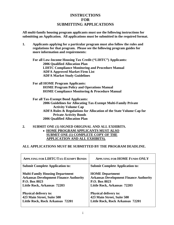### **INSTRUCTIONS FOR SUBMITTING APPLICATIONS**

**All multi-family housing program applicants must use the following instructions for submitting an Application. All applications must be submitted in the required format.** 

**1. Applicants applying for a particular program must also follow the rules and regulations for that program. Please see the following program guides for more information and requirements:** 

**For all Low-Income Housing Tax Credit ("LIHTC") Applicants: 2006 Qualified Allocation Plan LIHTC Compliance Monitoring and Procedure Manual ADFA Approved Market Firm List ADFA Market Study Guidelines** 

**For all HOME Program Applicants: HOME Program Policy and Operations Manual HOME Compliance Monitoring & Procedure Manual** 

**For all Tax-Exempt Bond Applicants: 2006 Guidelines for Allocating Tax-Exempt Multi-Family Private Activity Volume Cap ADFA Rules & Regulations for Allocation of the State Volume Cap for Private Activity Bonds 2006 Qualified Allocation Plan** 

**2. SUBMIT ONE (1) SIGNED ORIGINAL AND ALL EXHIBITS.**  • **HOME PROGRAM APPLICANTS MUST ALSO SUBMIT ONE (1) COMPLETE COPY OF THE APPLICATION AND ALL EXHIBITS).** 

#### **ALL APPLICATIONS MUST BE SUBMITTED BY THE PROGRAM DEADLINE.**

| <b>APPLYING FOR LIHTC/TAX-EXEMPT BONDS</b>                                                                                                     | <b>APPLYING FOR HOME FUNDS ONLY</b>                                                                                     |
|------------------------------------------------------------------------------------------------------------------------------------------------|-------------------------------------------------------------------------------------------------------------------------|
| <b>Submit Complete Application to:</b>                                                                                                         | <b>Submit Complete Application to:</b>                                                                                  |
| <b>Multi-Family Housing Department</b><br><b>Arkansas Development Finance Authority</b><br><b>P.O. Box 8023</b><br>Little Rock, Arkansas 72203 | <b>HOME</b> Department<br><b>Arkansas Development Finance Authority</b><br>P.O. Box 8023<br>Little Rock, Arkansas 72203 |
| <b>Physical delivery to:</b>                                                                                                                   | <b>Physical delivery to:</b>                                                                                            |
| 423 Main Street, Suite 500                                                                                                                     | 423 Main Street, Suite 500                                                                                              |
| Little Rock, Rock Arkansas 72201                                                                                                               | Little Rock, Rock Arkansas 72201                                                                                        |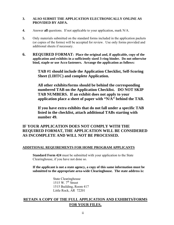#### **3. ALSO SUBMIT THE APPLICATION ELECTRONICALLY ONLINE AS PROVIDED BY ADFA.**

- **4.** Answer **all** questions. If not applicable to your application, mark N/A.
- **5.** Only materials submitted on the standard forms included in the application packets (or copies of the forms) will be accepted for review. Use only forms provided and additional sheets if necessary.
- **6. REQUIRED FORMAT: Place the original and, if applicable, copy of the application and exhibits in a sufficiently sized 3-ring binder. Do not otherwise bind, staple or use Acco fasteners. Arrange the application as follows:**

**TAB #1 should include the Application Checklist, Self-Scoring Sheet (LIHTC) and complete Application.** 

**All other exhibits/forms should be behind the corresponding numbered TAB on the Application Checklist. DO NOT SKIP TAB NUMBERS. If an exhibit does not apply to your application place a sheet of paper with "N/A" behind the TAB.** 

**If you have extra exhibits that do not fall under a specific TAB listed in the checklist, attach additional TABs starting with number 49.** 

### **IF YOUR APPLICATION DOES NOT COMPLY WITH THE REQUIRED FORMAT, THE APPLICATION WILL BE CONSIDERED AS INCOMPLETE AND WILL NOT BE PROCESSED.**

#### **ADDITIONAL REQUIREMENTS FOR HOME PROGRAM APPLICANTS**

 **Standard Form 424** must be submitted with your application to the State Clearinghouse, if you have not done so.

#### **If the applicant is not a state agency, a copy of this same information must be submitted to the appropriate area-wide Clearinghouse. The state address is:**

 State Clearinghouse 1515 W.  $7<sup>th</sup>$  Street 1515 Building, Room 417 Little Rock, AR 72201

### **RETAIN A COPY OF THE FULL APPLICATION AND EXHIBITS/FORMS FOR YOUR FILES.**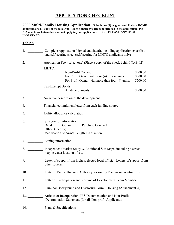### **APPLICATION CHECKLIST**

**2006 Multi-Family Housing Application. Submit one (1) original and, if also a HOME applicant, one (1) copy of the following. Place a check by each item included in the application. Put N/A next to each item that does not apply to your application. DO NOT LEAVE ANY ITEM UNMARKED.**

#### **Tab No.**

| $1.$ $\blacksquare$ | Complete Application (signed and dated), including application checklist<br>and self-scoring sheet (self-scoring for LIHTC applicants only) |                                  |
|---------------------|---------------------------------------------------------------------------------------------------------------------------------------------|----------------------------------|
| 2.                  | Application Fee: (select one) (Place a copy of the check behind TAB #2)                                                                     |                                  |
|                     | LIHTC:<br>Non-Profit Owner:<br>For Profit Owner with four (4) or less units:<br>For Profit Owner with more than four (4) units:             | \$300.00<br>\$300.00<br>\$500.00 |
|                     | Tax-Exempt Bonds:<br>All developments:                                                                                                      | \$500.00                         |
|                     | 3. Narrative description of the development                                                                                                 |                                  |
|                     | 4. Financial commitment letter from each funding source                                                                                     |                                  |
|                     | 5. ____________ Utility allowance calculation                                                                                               |                                  |
|                     | 6. Site control information<br>Deed: Option: Purchase Contract: _____<br>Other (specify):<br>Verification of Arm's Length Transaction       |                                  |
|                     | 7. Zoning information                                                                                                                       |                                  |
|                     | 8. Independent Market Study & Additional Site Maps, including a street<br>map to exact location of site                                     |                                  |
|                     | 9. Letter of support from highest elected local official. Letters of support from<br>other sources                                          |                                  |
|                     | 10. Letter to Public Housing Authority for use by Persons on Waiting List                                                                   |                                  |
|                     | 11. Letter of Participation and Resume of Development Team Members                                                                          |                                  |
|                     | 12. Criminal Background and Disclosure Form - Housing (Attachment A)                                                                        |                                  |
|                     | 13. Articles of Incorporation, IRS Documentation and Non-Profit<br>Determination Statement (for all Non-profit Applicants)                  |                                  |
| 14. $\qquad \qquad$ | Plans & Specifications                                                                                                                      |                                  |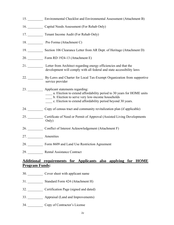|                       | 15. Environmental Checklist and Environmental Assessment (Attachment B)                                                                                                                                                    |
|-----------------------|----------------------------------------------------------------------------------------------------------------------------------------------------------------------------------------------------------------------------|
|                       | 16. Capital Needs Assessment (For Rehab Only)                                                                                                                                                                              |
|                       | 17. Tenant Income Audit (For Rehab Only)                                                                                                                                                                                   |
|                       | 18. Pro Forma (Attachment C)                                                                                                                                                                                               |
|                       | 19. Section 106 Clearance Letter from AR Dept. of Heritage (Attachment D)                                                                                                                                                  |
|                       | 20. Form RD 1924-13 (Attachment E)                                                                                                                                                                                         |
|                       | 21. Letter from Architect regarding energy efficiencies and that the<br>development will comply with all federal and state accessibility laws                                                                              |
| 22.                   | By-Laws and Charter for Local Tax-Exempt Organization from supportive<br>service provider                                                                                                                                  |
| 23.                   | Applicant statements regarding:<br>a. Election to extend affordability period to 30 years for HOME units<br>b. Election to serve very low-income households<br>c. Election to extend affordability period beyond 30 years. |
|                       | 24. Copy of census tract and community revitalization plan (if applicable)                                                                                                                                                 |
|                       | 25. Certificate of Need or Permit of Approval (Assisted Living Developments<br>Only)                                                                                                                                       |
|                       | 26. Conflict of Interest Acknowledgement (Attachment F)                                                                                                                                                                    |
|                       |                                                                                                                                                                                                                            |
|                       | 28. Form 8609 and Land Use Restriction Agreement                                                                                                                                                                           |
|                       | 29. Rental Assistance Contract                                                                                                                                                                                             |
| <b>Program Funds:</b> | <b>Additional requirements for Applicants also applying for HOME</b>                                                                                                                                                       |
|                       | 30. Cover sheet with applicant name                                                                                                                                                                                        |

- 31. \_\_\_\_\_\_\_\_\_ Standard Form 424 (Attachment H)
- 32. \_\_\_\_\_\_\_\_\_ Certification Page (signed and dated)
- 33. \_\_\_\_\_\_\_\_\_ Appraisal (Land and Improvements)
- 34. \_\_\_\_\_\_\_\_\_ Copy of Contractor's License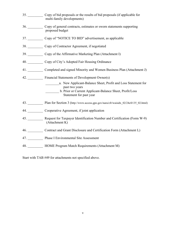| 35. Copy of bid proposals or the results of bid proposals (if applicable for<br>multi-family developments)                                                             |
|------------------------------------------------------------------------------------------------------------------------------------------------------------------------|
| 36. Copy of general contracts, estimates or sworn statements supporting<br>proposed budget                                                                             |
| 37. Copy of "NOTICE TO BID" advertisement, as applicable                                                                                                               |
| 38. Copy of Contractor Agreement, if negotiated                                                                                                                        |
| 39. Copy of the Affirmative Marketing Plan (Attachment I)                                                                                                              |
| 40. Copy of City's Adopted Fair Housing Ordinance                                                                                                                      |
| 41. Completed and signed Minority and Women Business Plan (Attachment J)                                                                                               |
| 42. Financial Statements of Development Owner(s)                                                                                                                       |
| a. New Applicant-Balance Sheet, Profit and Loss Statement for<br>past two years<br>b. Prior or Current Applicant-Balance Sheet, Profit/Loss<br>Statement for past year |
| 43. Plan for Section 3 (http://www.access.gpo.gov/nara/cfr/waisidx_02/24cfr135_02.html)                                                                                |
| 44. Cooperative Agreement, if joint application                                                                                                                        |
| 45. Request for Taxpayer Identification Number and Certification (Form W-9)<br>(Attachment K)                                                                          |
| 46. Contract and Grant Disclosure and Certification Form (Attachment L)                                                                                                |
| 47. Phase I Environmental Site Assessment                                                                                                                              |
| 48. HOME Program Match Requirements (Attachment M)                                                                                                                     |

Start with TAB #49 for attachments not specified above.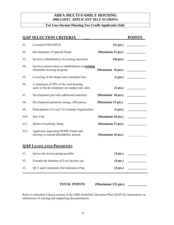#### **ADFA MULTI-FAMILY HOUSING 2006 LIHTC APPLICANT SELF-SCORING**

### **For Low-Income Housing Tax Credit Applicants Only**

|      | <b>QAP SELECTION CRITERIA</b>                                                           |                     | <b>POINTS</b>                                                                                                                                                                                                                        |
|------|-----------------------------------------------------------------------------------------|---------------------|--------------------------------------------------------------------------------------------------------------------------------------------------------------------------------------------------------------------------------------|
| #1.  | Location/USDA/HUD                                                                       | $(15$ pts.)         |                                                                                                                                                                                                                                      |
| #2.  | Development of Special Needs                                                            | (Maximum 15 pts.)   |                                                                                                                                                                                                                                      |
| #3.  | Involves rehabilitation of existing structures                                          | $(10 \text{ pts.})$ |                                                                                                                                                                                                                                      |
| #4.  | Involves preservation or rehabilitation of existing<br>affordable housing program       | (Maximum 10 pts.)   |                                                                                                                                                                                                                                      |
| #5.  | Lowering of developer and consultant fees                                               | $(5 \text{ pts.})$  | <u> Territoria de la provincia de la provincia de la provincia de la provincia de la provincia de la provincia de la provincia de la provincia de la provincia de la provincia de la provincia de la provincia de la provincia d</u> |
| #6.  | A minimum of 20% of the total housing<br>units in the development are market rate units | $(5$ pts.)          |                                                                                                                                                                                                                                      |
| #7.  | Development provides additional amenities                                               | (Maximum 10 pts.)   |                                                                                                                                                                                                                                      |
| #8.  | Development promotes energy efficiencies                                                | (Maximum 15 pts.)   |                                                                                                                                                                                                                                      |
| #9.  | Participation of Local Tax Exempt Organization                                          | $(5$ pts.)          |                                                                                                                                                                                                                                      |
| #10. | Site Visit                                                                              | (Maximum 10 pts.)   |                                                                                                                                                                                                                                      |
| #11. | Market Feasibility Study                                                                | (Maximum 15 pts.)   |                                                                                                                                                                                                                                      |
| #12. | Applicant requesting HOME Funds and<br>electing to extend affordability period          | (Maximum 10 pts.)   |                                                                                                                                                                                                                                      |
|      | <b>QAP LEGISLATED PRIORITIES</b>                                                        |                     |                                                                                                                                                                                                                                      |
| #1.  | Serves the lowest group possible                                                        | $(3 \text{ pts.})$  |                                                                                                                                                                                                                                      |
| #2.  | Extends the duration of Low-Income use                                                  | $(4 \text{ pts.})$  |                                                                                                                                                                                                                                      |
| #3.  | <b>QCT</b> and Community Revitalization Plan                                            | $(3 \text{ pts.})$  |                                                                                                                                                                                                                                      |

#### **(Maximum 135 pts.) TOTAL POINTS**

Refer to Selection Criteria section of the 2006 Qualified Allocation Plan (QAP) for instructions on submission of scoring and supporting documentation.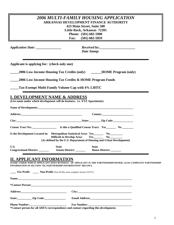|                                                                                                                                                                             | <i>2006 MULTI-FAMILY HOUSING APPLICATION</i><br><b>ARKANSAS DEVELOPMENT FINANCE AUTHORITY</b><br>423 Main Street, Suite 500<br>Little Rock, Arkansas 72201<br>Phone: (501) 682-5900<br>$(501)$ 682-5859<br>Fax:                |
|-----------------------------------------------------------------------------------------------------------------------------------------------------------------------------|--------------------------------------------------------------------------------------------------------------------------------------------------------------------------------------------------------------------------------|
| Application Date: _____________                                                                                                                                             | Received by:<br>Date Stamp:                                                                                                                                                                                                    |
| Applicant is applying for: (check only one)                                                                                                                                 |                                                                                                                                                                                                                                |
|                                                                                                                                                                             | 2006 Low-Income Housing Tax Credits (only) ______HOME Program (only)                                                                                                                                                           |
|                                                                                                                                                                             | 2006 Low-Income Housing Tax Credits & HOME Program Funds                                                                                                                                                                       |
| <b>Tax-Exempt Multi-Family Volume Cap with 4% LIHTC</b>                                                                                                                     |                                                                                                                                                                                                                                |
| <b>I. DEVELOPMENT NAME &amp; ADDRESS</b><br>(List name under which development will do business. i.e. XYZ Apartments)                                                       |                                                                                                                                                                                                                                |
|                                                                                                                                                                             | County:                                                                                                                                                                                                                        |
|                                                                                                                                                                             | City: City: City: City: City: City: City: Code: City: Code: City: Code: City: Code: City: Code: City: Code: City: Code: City: Code: City: Code: City: Code: City: Code: City: City: Code: City: City: City: City: City: City:  |
| Is the Development Located in: Metropolitan Statistical Area: Yes No No No                                                                                                  | Difficult to Develop Area: Yes_________ No______<br>(As defined by the U.S. Department of Housing and Urban Development)                                                                                                       |
| U.S.<br><b>State</b><br><b>Congressional District:</b>                                                                                                                      | <b>State</b><br>House District: _______                                                                                                                                                                                        |
| <b>II. APPLICANT INFORMATION</b><br>INFORMATION IN SECTION "III. PARTNERSHIP INFORMATION" BELOW.)<br>For Profit ______ Non-Profit (Non-Profits must complete Section XXVI.) | (NAME UNDER WHICH APPLICANT DOES BUSINESS. (IF APPLICANT IS THE PARTNERSHIP/OWNER, ALSO COMPLETE PARTNERSHIP                                                                                                                   |
|                                                                                                                                                                             | Name: https://www.archive.com/communications/communications/communications/communications/communications/communications/communications/communications/communications/communications/communications/communications/communicatio |
|                                                                                                                                                                             |                                                                                                                                                                                                                                |
|                                                                                                                                                                             |                                                                                                                                                                                                                                |
|                                                                                                                                                                             |                                                                                                                                                                                                                                |
|                                                                                                                                                                             |                                                                                                                                                                                                                                |

**\*Contact person for all ADFA correspondence and contact regarding this development.**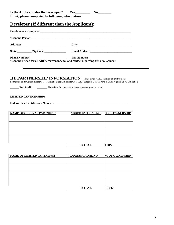### **Developer (If different than the Applicant):**

| State: <u>Zip Code:</u>                                                                                                                                                                                                                                 |                                                             |                |  |
|---------------------------------------------------------------------------------------------------------------------------------------------------------------------------------------------------------------------------------------------------------|-------------------------------------------------------------|----------------|--|
|                                                                                                                                                                                                                                                         | <b>Fax Number:</b>                                          |                |  |
| *Contact person for all ADFA correspondence and contact regarding this development.                                                                                                                                                                     |                                                             |                |  |
| <b>III. PARTNERSHIP INFORMATION:</b> (Please note: ADFA reserves tax credits to the<br>Partnership or its General Partner(s). Reservations are non-transferable. Any changes in General Partner Status requires a new application)<br><b>For Profit</b> | <b>Non-Profit</b> (Non-Profits must complete Section XXVI.) |                |  |
| <b>NAME OF GENERAL PARTNER(S)</b>                                                                                                                                                                                                                       | <b>ADDRESS/PHONE NO.</b>                                    | % OF OWNERSHIP |  |
|                                                                                                                                                                                                                                                         |                                                             |                |  |
|                                                                                                                                                                                                                                                         |                                                             |                |  |
|                                                                                                                                                                                                                                                         |                                                             |                |  |
|                                                                                                                                                                                                                                                         |                                                             |                |  |
|                                                                                                                                                                                                                                                         | <b>TOTAL</b>                                                | 100%           |  |
|                                                                                                                                                                                                                                                         |                                                             |                |  |
| <b>NAME OF LIMITED PARTNER(S)</b>                                                                                                                                                                                                                       | <b>ADDRESS/PHONE NO.</b>                                    | % OF OWNERSHIP |  |
|                                                                                                                                                                                                                                                         |                                                             |                |  |

| <b>TOTAL</b> | 100% |
|--------------|------|
|              |      |
|              |      |
|              |      |
|              |      |
|              |      |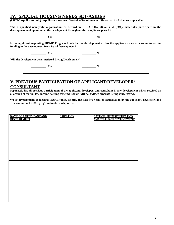### **IV. SPECIAL HOUSING NEEDS SET-ASIDES**

**(LIHTC Applicants only) Applicant must meet Set-Aside Requirements. Please mark all that are applicable.** 

Will a qualified non-profit organization, as defined in IRC  $\S$  501(c)(3) or  $\S$  501(c)(4), materially participate in the **development and operation of the development throughout the compliance period ?** 

 **\_\_\_\_\_\_\_\_\_\_\_ Yes \_\_\_\_\_\_\_\_\_\_ No** 

**Is the applicant requesting HOME Program funds for the development or has the applicant received a commitment for funding to the development from Rural Development?** 

 **\_\_\_\_\_\_\_\_\_\_\_ Yes \_\_\_\_\_\_\_\_\_\_ No** 

**Will the development be an Assisted Living Development?** 

 **\_\_\_\_\_\_\_\_\_\_\_ Yes \_\_\_\_\_\_\_\_\_\_ No** 

### **V. PREVIOUS PARTICIPATION OF APPLICANT/DEVELOPER/**

### **CONSULTANT**

**Separately list all previous participation of the applicant, developer, and consultant in any development which received an allocation of federal low-income housing tax credits from ADFA. (Attach separate listing if necessary).** 

**\*\*For developments requesting HOME funds, identify the past five years of participation by the applicant, developer, and consultant in HOME program funds developments.** 

| <b>NAME OF PARTICIPANT AND</b> | <b>LOCATION</b> | <b>DATE OF LIHTC RESERVATION<br/>AND STATUS OF DEVELOPMENT</b> |
|--------------------------------|-----------------|----------------------------------------------------------------|
| <b>DEVELOPMENT</b>             |                 |                                                                |
|                                |                 |                                                                |
|                                |                 |                                                                |
|                                |                 |                                                                |
|                                |                 |                                                                |
|                                |                 |                                                                |
|                                |                 |                                                                |
|                                |                 |                                                                |
|                                |                 |                                                                |
|                                |                 |                                                                |
|                                |                 |                                                                |
|                                |                 |                                                                |
|                                |                 |                                                                |
|                                |                 |                                                                |
|                                |                 |                                                                |
|                                |                 |                                                                |
|                                |                 |                                                                |
|                                |                 |                                                                |
|                                |                 |                                                                |
|                                |                 |                                                                |
|                                |                 |                                                                |
|                                |                 |                                                                |
|                                |                 |                                                                |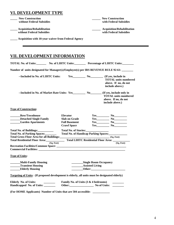### **VI. DEVELOPMENT TYPE**

| <b>New Construction</b>                                    | <b>New Construction</b>           |
|------------------------------------------------------------|-----------------------------------|
| without Federal Subsidies                                  | with Federal Subsidies            |
| <b>Acquisition/Rehabilitation</b>                          | <b>Acquisition/Rehabilitation</b> |
| without Federal Subsidies                                  | with Federal Subsidies            |
| <b>Acquisition with 10-year waiver from Federal Agency</b> |                                   |

### **VII. DEVELOPMENT INFORMATION**

|                                                                                                       |            |                                      | TOTAL No. of Units:_________ No. of LIHTC Units:_________ Percentage of LIHTC Units:________ |                                                                        |  |
|-------------------------------------------------------------------------------------------------------|------------|--------------------------------------|----------------------------------------------------------------------------------------------|------------------------------------------------------------------------|--|
| Number of units designated for Manager(s)/Employee(s) per IRS REVENUE RULE 92-61: ______              |            |                                      |                                                                                              |                                                                        |  |
| --Included in No. of LIHTC Units:                                                                     |            |                                      |                                                                                              | <b>TOTAL</b> units numbered<br>above. If no, do not<br>include above.) |  |
|                                                                                                       |            |                                      |                                                                                              | <b>TOTAL</b> units numbered<br>above. If no, do not<br>include above.) |  |
| <b>Type of Construction:</b>                                                                          |            |                                      |                                                                                              |                                                                        |  |
| <b>Row/Townhouse</b>                                                                                  |            | <b>Elevator</b>                      |                                                                                              | $Yes$ No No                                                            |  |
| <b>Detached Single Family</b>                                                                         |            | <b>Slab on Grade</b>                 |                                                                                              | $Yes$ No $No$                                                          |  |
| <b>Garden Apartments</b>                                                                              |            | <b>Full Basement</b>                 |                                                                                              | $Yes$ No No                                                            |  |
|                                                                                                       |            | <b>Crawl Space</b>                   |                                                                                              | $Yes$ No $No$                                                          |  |
| Total No. of Buildings:<br>Total No. of Parking Spaces:                                               |            | <b>Total No. of Stories:</b>         |                                                                                              | Total No. of Handicap Parking Spaces:<br><u>Factor</u>                 |  |
| Total Gross Floor Area for all Buildings: (Sq. Feet)                                                  |            |                                      |                                                                                              |                                                                        |  |
|                                                                                                       | (Sq. Feet) |                                      |                                                                                              | (Sq. Feet)                                                             |  |
|                                                                                                       |            |                                      |                                                                                              |                                                                        |  |
| <b>Type of Units:</b>                                                                                 |            |                                      |                                                                                              |                                                                        |  |
| <b>Multi-Family Housing</b><br><b>Transient Housing</b><br><b>Elderly Housing</b>                     |            |                                      | <b>Single Room Occupancy</b><br><b>__________Assisted Living</b>                             |                                                                        |  |
| <b>Targeting of Units:</b> (If proposed development is elderly, all units must be designated elderly) |            |                                      |                                                                                              |                                                                        |  |
| <b>Elderly No. of Units:</b>                                                                          |            | Family No. of Units (3 & 4 bedrooms) |                                                                                              |                                                                        |  |
| Handicapped No. of Units:                                                                             |            |                                      |                                                                                              |                                                                        |  |
| (For HOME Applicants) Number of Units that are 504 accessible:                                        |            |                                      |                                                                                              |                                                                        |  |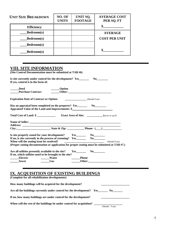| <b>UNIT SIZE BREAKDOWN</b> | NO. OF<br><b>UNITS</b> | UNIT SQ.<br><b>FOOTAGE</b> | <b>AVERAGE COST</b><br>PER SQ. FT |
|----------------------------|------------------------|----------------------------|-----------------------------------|
| <b>Efficiency</b>          |                        |                            |                                   |
| <b>Bedroom(s)</b>          |                        |                            | <b>AVERAGE</b>                    |
| <b>Bedroom(s)</b>          |                        |                            | <b>COST PER UNIT</b>              |
| <b>Bedroom(s)</b>          |                        |                            |                                   |
| <b>Bedroom(s)</b>          |                        |                            |                                   |

### **VIII. SITE INFORMATION**

| (Site Control Documentation must be submitted at TAB #6)                                                                               |              |                                                                                                                                                                                                                                                                                                                                                                                                                      |                                                       |
|----------------------------------------------------------------------------------------------------------------------------------------|--------------|----------------------------------------------------------------------------------------------------------------------------------------------------------------------------------------------------------------------------------------------------------------------------------------------------------------------------------------------------------------------------------------------------------------------|-------------------------------------------------------|
| Is site currently under control for the development? Yes_______<br>If yes, control is in the form of:                                  |              |                                                                                                                                                                                                                                                                                                                                                                                                                      | $\bf{No}$                                             |
| <b>Deed</b><br><b>Purchase Contract</b>                                                                                                | ______Option |                                                                                                                                                                                                                                                                                                                                                                                                                      |                                                       |
| <b>Expiration Date of Contract or Option:</b>                                                                                          |              | $\frac{1}{\sqrt{1-\frac{1}{2}}\sqrt{1-\frac{1}{2}}\sqrt{1-\frac{1}{2}}\sqrt{1-\frac{1}{2}}\sqrt{1-\frac{1}{2}}\sqrt{1-\frac{1}{2}}\sqrt{1-\frac{1}{2}}\sqrt{1-\frac{1}{2}}\sqrt{1-\frac{1}{2}}\sqrt{1-\frac{1}{2}}\sqrt{1-\frac{1}{2}}\sqrt{1-\frac{1}{2}}\sqrt{1-\frac{1}{2}}\sqrt{1-\frac{1}{2}}\sqrt{1-\frac{1}{2}}\sqrt{1-\frac{1}{2}}\sqrt{1-\frac{1}{2}}\sqrt{1-\frac{1}{2}}\sqrt{1-\frac{1}{2}}\sqrt{1-\frac$ |                                                       |
| Appraised Value of the Land and Improvements: \$                                                                                       |              |                                                                                                                                                                                                                                                                                                                                                                                                                      |                                                       |
|                                                                                                                                        |              |                                                                                                                                                                                                                                                                                                                                                                                                                      |                                                       |
|                                                                                                                                        |              |                                                                                                                                                                                                                                                                                                                                                                                                                      |                                                       |
|                                                                                                                                        |              |                                                                                                                                                                                                                                                                                                                                                                                                                      |                                                       |
|                                                                                                                                        |              |                                                                                                                                                                                                                                                                                                                                                                                                                      |                                                       |
|                                                                                                                                        |              |                                                                                                                                                                                                                                                                                                                                                                                                                      |                                                       |
|                                                                                                                                        |              |                                                                                                                                                                                                                                                                                                                                                                                                                      |                                                       |
| Is site properly zoned for your development? Yes_________________________________                                                      |              |                                                                                                                                                                                                                                                                                                                                                                                                                      |                                                       |
|                                                                                                                                        |              |                                                                                                                                                                                                                                                                                                                                                                                                                      |                                                       |
| When will the zoning issue be resolved?<br>(Proper zoning documentation or application for proper zoning must be submitted at TAB #7.) |              |                                                                                                                                                                                                                                                                                                                                                                                                                      | $\begin{array}{ccc}\n\text{Month/Year)}\n\end{array}$ |
|                                                                                                                                        |              |                                                                                                                                                                                                                                                                                                                                                                                                                      |                                                       |
| If no, which utilities need to be brought to the site?                                                                                 |              |                                                                                                                                                                                                                                                                                                                                                                                                                      |                                                       |
| <b>Electric</b>                                                                                                                        | Water        | $\frac{1}{2}$ Phone                                                                                                                                                                                                                                                                                                                                                                                                  |                                                       |

### **IX. ACQUISITION OF EXISTING BUILDINGS**

**(Complete for all rehabilitation developments)** 

| How many buildings will be acquired for the development?               |               |  |
|------------------------------------------------------------------------|---------------|--|
| Are all the buildings currently under control for the development? Yes | $\bf{No}$     |  |
| If no, how many buildings are under control for the development?       |               |  |
| When will the rest of the buildings be under control for acquisition?  | _____________ |  |

(Month / Year)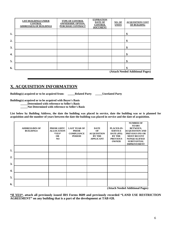|                  | <b>LIST BUILDINGS UNDER</b><br><b>CONTROL</b><br><b>ADDRESS(ES) OF BUILDINGS</b> | <b>TYPE OF CONTROL</b><br><b>OWNERSHIP, OPTION,</b><br><b>PURCHASE CONTRACT</b> | <b>EXPIRATION</b><br><b>DATE OF</b><br><b>CONTROL</b><br><b>DOCUMENT</b> | NO. OF<br><b>UNITS</b> | <b>ACQUISITION COST</b><br>OF BUILDING |
|------------------|----------------------------------------------------------------------------------|---------------------------------------------------------------------------------|--------------------------------------------------------------------------|------------------------|----------------------------------------|
| 1.               |                                                                                  |                                                                                 |                                                                          |                        | \$                                     |
| 2.               |                                                                                  |                                                                                 |                                                                          |                        | \$                                     |
| 3.               |                                                                                  |                                                                                 |                                                                          |                        | \$                                     |
| $\overline{4}$ . |                                                                                  |                                                                                 |                                                                          |                        | \$                                     |
| 5.               |                                                                                  |                                                                                 |                                                                          |                        | \$                                     |
| 6.               |                                                                                  |                                                                                 |                                                                          |                        | \$                                     |

 **(Attach Needed Additional Pages)** 

### **X. ACQUISITION INFORMATION**

**Building(s) acquired or to be acquired from: \_\_\_\_\_Related Party \_\_\_\_\_Unrelated Party** 

**Building(s) acquired or to be acquired with Buyer's Basis** 

 **\_\_\_\_\_Determined with reference to Seller's Basis** 

 **\_\_\_\_\_Not Determined with reference to Seller's Basis** 

**List below by Building Address, the date the building was placed in service, date the building was or is planned for acquisition and the number of years between the date the building was placed in service and the date of acquisition.** 

|    | <b>ADDRESS/BIN OF</b><br><b>BUILDINGS</b> | PRIOR LIHTC<br><b>ALLOCATION</b><br>$*YES*$<br><b>OR</b><br>NO | <b>LAST YEAR OF</b><br><b>PRIOR</b><br><b>COMPLIANCE</b><br><b>PERIOD</b> | <b>DATE</b><br>OF<br><b>ACQUISITION</b><br><b>BY THE</b><br><b>APPLICANT</b> | PLACED-IN-<br><b>SERVICE</b><br><b>DATE</b> (PIS)<br><b>BY THE</b><br><b>PREVIOUS</b><br><b>OWNER</b> | <b>NUMBER OF</b><br><b>YEARS</b><br><b>BETWEEN,</b><br><b>ACQUISITION AND</b><br><b>PREVIOUS PIS OR</b><br><b>MOST RECENT</b><br><b>NONQUALIFIED</b><br><b>SUBSTANTIAL</b><br><b>IMPROVEMENT</b> |
|----|-------------------------------------------|----------------------------------------------------------------|---------------------------------------------------------------------------|------------------------------------------------------------------------------|-------------------------------------------------------------------------------------------------------|--------------------------------------------------------------------------------------------------------------------------------------------------------------------------------------------------|
| 1. |                                           |                                                                |                                                                           |                                                                              |                                                                                                       |                                                                                                                                                                                                  |
| 2. |                                           |                                                                |                                                                           |                                                                              |                                                                                                       |                                                                                                                                                                                                  |
| 3. |                                           |                                                                |                                                                           |                                                                              |                                                                                                       |                                                                                                                                                                                                  |
| 4. |                                           |                                                                |                                                                           |                                                                              |                                                                                                       |                                                                                                                                                                                                  |
| 5. |                                           |                                                                |                                                                           |                                                                              |                                                                                                       |                                                                                                                                                                                                  |
| 6. |                                           |                                                                |                                                                           |                                                                              |                                                                                                       | $\lambda$                                                                                                                                                                                        |

 **(Attach Needed Additional Pages)** 

**\*If YES\*, attach all previously issued IRS Forms 8609 and previously recorded "LAND USE RESTRICTION AGREEMENT" on any building that is a part of the development at TAB #28.**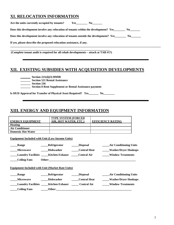### **XI. RELOCATION INFORMATION**

| Does this development involve any relocation of tenants within the development? Yes No     |  |  |  |  |  |  |  |
|--------------------------------------------------------------------------------------------|--|--|--|--|--|--|--|
| Does this development involve any relocation of tenants outside the development? Yes No No |  |  |  |  |  |  |  |
| If yes, please describe the proposed relocation assistance, if any.                        |  |  |  |  |  |  |  |
|                                                                                            |  |  |  |  |  |  |  |

 **(Complete tenant audit is required for all rehab developments – attach at TAB #17)** 

### **XII. EXISTING SUBSIDIES WITH ACQUISITION DEVELOPMENTS**

|  |  | Section $221(d)(3)$ BMIR |  |
|--|--|--------------------------|--|
|--|--|--------------------------|--|

**\_\_\_\_\_\_\_ Section 521 Rental Assistance** 

**\_\_\_\_\_\_\_ Section 236** 

**\_\_\_\_\_\_\_ Section 8 Rent Supplement or Rental Assistance payment** 

**Is HUD Approval for Transfer of Physical Asset Required? Yes\_\_\_\_\_\_\_ No\_\_\_\_\_\_\_\_** 

### **XIII. ENERGY AND EQUIPMENT INFORMATION**

|                           | <b>TYPE SYSTEM (FORCED</b>                                    |                     |                               |
|---------------------------|---------------------------------------------------------------|---------------------|-------------------------------|
| <b>ENERGY EQUIPMENT</b>   | AIR, HOT WATER, ETC.)                                         |                     | <b>EFFICIENCY RATING</b>      |
| <b>Heating</b>            |                                                               |                     |                               |
| <b>Air Conditioner</b>    |                                                               |                     |                               |
| <b>Domestic Hot Water</b> |                                                               |                     |                               |
|                           | <b>Equipment Included with Unit (Low-Income Units)</b>        |                     |                               |
| Range                     | <b>Refrigerator</b>                                           | <b>Disposal</b>     | <b>Air Conditioning Units</b> |
| <b>Microwave</b>          | <b>Dishwasher</b>                                             | <b>Central Heat</b> | <b>Washer/Dryer Hookups</b>   |
|                           | Laundry Facilities ______ Kitchen Exhaust ______ Central Air  |                     | <b>Window Treatments</b>      |
| <b>Ceiling Fans</b>       |                                                               |                     |                               |
|                           | <b>Equipment Included with Unit (Market Rate Units)</b>       |                     |                               |
| Range                     | _Refrigerator                                                 | <b>Disposal</b>     | <b>Air Conditioning Units</b> |
| <b>Microwave</b>          | <b>Dishwasher</b>                                             | <b>Central Heat</b> | Washer/Dryer Hookups          |
|                           | Laundry Facilities ______ Kitchen Exhaust _______ Central Air |                     | <b>Window Treatments</b>      |
|                           |                                                               |                     |                               |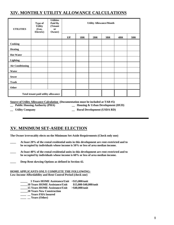### **XIV. MONTHLY UTILITY ALLOWANCE CALCULATIONS**

| <b>UTILITIES</b>        | Type of<br><b>Utility</b><br>(Gas,<br>Electric) | <b>Utilities</b><br>Paid By<br>(Tenant<br><sub>or</sub><br>Owner) | <b>Utility Allowance/Month</b> |     |     |     |     |            |
|-------------------------|-------------------------------------------------|-------------------------------------------------------------------|--------------------------------|-----|-----|-----|-----|------------|
|                         |                                                 |                                                                   | Eff                            | 1BR | 2BR | 3BR | 4BR | <b>5BR</b> |
| <b>Cooking</b>          |                                                 |                                                                   |                                |     |     |     |     |            |
| <b>Heating</b>          |                                                 |                                                                   |                                |     |     |     |     |            |
| <b>Hot Water</b>        |                                                 |                                                                   |                                |     |     |     |     |            |
| <b>Lighting</b>         |                                                 |                                                                   |                                |     |     |     |     |            |
| <b>Air Conditioning</b> |                                                 |                                                                   |                                |     |     |     |     |            |
| Water                   |                                                 |                                                                   |                                |     |     |     |     |            |
| <b>Sewer</b>            |                                                 |                                                                   |                                |     |     |     |     |            |
| <b>Trash</b>            |                                                 |                                                                   |                                |     |     |     |     |            |
| Other                   |                                                 |                                                                   |                                |     |     |     |     |            |
|                         | Total tenant paid utility allowance             |                                                                   |                                |     |     |     |     |            |

**Source of Utility Allowance Calculation (Documentation must be included at TAB #5)** 

- 
- **\_\_ Public Housing Authority (PHA) \_\_ Housing & Urban Development (HUD)**
- 
- **\_\_ Utility Company \_\_ Rural Development (USDA RD)**

### **XV. MINIMUM SET-ASIDE ELECTION**

**The Owner irrevocably elects on the Minimum Set-Aside Requirements (Check only one)** 

- **\_\_\_\_ At least 20% of the rental residential units in this development are rent-restricted and to be occupied by individuals whose income is 50% or less of area median income.**
- **\_\_\_\_ At least 40% of the rental residential units in this development are rent-restricted and to be occupied by individuals whose income is 60% or less of area median income.**
- **\_\_\_\_ Deep Rent skewing Options as defined in Section 42.**

**HOME APPLICANTS ONLY COMPLETE THE FOLLOWING: Low-Income Affordability and Rent Control Period (check one)** 

 **\_\_\_\_\_ 5 Years HOME Assistance/Unit <\$15,000/unit** 

- **\_\_\_\_\_10 Years HOME Assistance/Unit \$15,000-\$40,000/unit**
- **\_\_\_\_\_15 Years HOME Assistance/Unit >\$40,000/unit**
- **\_\_\_\_\_20 Years New Construction**
- **\_\_\_\_ \_\_ Years FHA Insured**
- **\_\_\_\_ \_\_ Years (Other)**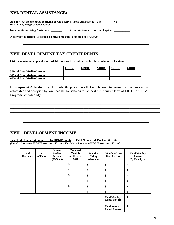### **XVI. RENTAL ASSISTANCE:**

**Are any low-income units receiving or will receive Rental Assistance? Yes\_\_\_\_\_\_\_ No\_\_\_\_\_\_\_ If yes, identify the type of Rental Assistance:** 

**No. of units receiving Assistance: \_\_\_\_\_\_\_\_ Rental Assistance Contract Expires: \_\_\_\_\_\_\_\_\_\_\_** 

**A copy of the Rental Assistance Contract must be submitted at TAB #29.** 

### **XVII. DEVELOPMENT TAX CREDIT RENTS:**

**List the maximum applicable affordable housing tax credit rents for the development location:** 

|                           | 0-BDR. | 1-BDR. | $2-BDR.$ | $3-BDR.$ | 4-BDR |
|---------------------------|--------|--------|----------|----------|-------|
| 30% of Area Median Income |        |        |          |          |       |
| 50% of Area Median Income |        |        |          |          |       |
| 60% of Area Median Income |        |        |          |          |       |

**Development Affordability:** Describe the procedures that will be used to ensure that the units remain affordable and occupied by low-income households for at least the required term of LIHTC or HOME Program Affordability.

 $\_$  , and the contribution of the contribution of the contribution of the contribution of the contribution of  $\mathcal{L}_\text{max}$  $\_$  , and the contribution of the contribution of the contribution of the contribution of the contribution of  $\mathcal{L}_\text{max}$  $\_$  , and the contribution of the contribution of the contribution of the contribution of the contribution of  $\mathcal{L}_\text{max}$  $\mathcal{L}_\mathcal{L} = \mathcal{L}_\mathcal{L} = \mathcal{L}_\mathcal{L} = \mathcal{L}_\mathcal{L} = \mathcal{L}_\mathcal{L} = \mathcal{L}_\mathcal{L} = \mathcal{L}_\mathcal{L} = \mathcal{L}_\mathcal{L} = \mathcal{L}_\mathcal{L} = \mathcal{L}_\mathcal{L} = \mathcal{L}_\mathcal{L} = \mathcal{L}_\mathcal{L} = \mathcal{L}_\mathcal{L} = \mathcal{L}_\mathcal{L} = \mathcal{L}_\mathcal{L} = \mathcal{L}_\mathcal{L} = \mathcal{L}_\mathcal{L}$ 

### **XVII. DEVELOPMENT INCOME**

 $\frac{1}{2}$ 

Tax Credit Units Not Supported by HOME Funds Total Number of Tax Credit Units: **(DO NOT INCLUDE HOME ASSISTED UNITS – USE NEXT PAGE FOR HOME ASSISTED UNITS)** 

 $\_$  , and the set of the set of the set of the set of the set of the set of the set of the set of the set of the set of the set of the set of the set of the set of the set of the set of the set of the set of the set of th

| # of<br><b>Bedrooms</b> | #<br>of Units | % Area<br><b>Median</b><br><b>Income</b><br>(30/50/60) | <b>Proposed</b><br><b>Monthly</b><br><b>Net Rent Per</b><br>Unit | <b>Monthly</b><br><b>Utility</b><br><b>Allowance</b> | <b>Monthly Gross</b><br><b>Rent Per Unit</b> | <b>Total Monthly</b><br><b>Income</b><br>By Unit Type |
|-------------------------|---------------|--------------------------------------------------------|------------------------------------------------------------------|------------------------------------------------------|----------------------------------------------|-------------------------------------------------------|
|                         |               |                                                        | \$                                                               | \$                                                   | \$                                           | \$                                                    |
|                         |               |                                                        | \$                                                               | \$                                                   | \$                                           | \$                                                    |
|                         |               |                                                        | \$                                                               | \$                                                   | \$                                           | \$                                                    |
|                         |               |                                                        | \$                                                               | \$                                                   | \$                                           | \$                                                    |
|                         |               |                                                        | \$                                                               | \$                                                   | \$                                           | \$                                                    |
|                         |               |                                                        | \$                                                               | \$                                                   | \$                                           | \$                                                    |
|                         |               |                                                        |                                                                  |                                                      | <b>Total Monthly</b><br><b>Rental Income</b> | \$                                                    |
|                         |               |                                                        |                                                                  |                                                      | <b>Total Annual</b><br><b>Rental Income</b>  | \$                                                    |

╙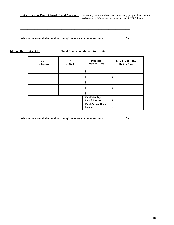**Units Receiving Project Based Rental Assistance:** Separately indicate those units receiving project based rental assistance which increases rents beyond LIHTC limits.

 **\_\_\_\_\_\_\_\_\_\_\_\_\_\_\_\_\_\_\_\_\_\_\_\_\_\_\_\_\_\_\_\_\_\_\_\_\_\_\_\_\_\_\_\_\_\_\_\_\_\_\_\_\_\_\_\_\_\_\_\_\_\_\_\_\_\_\_\_\_\_\_\_\_\_\_\_\_** 

 **\_\_\_\_\_\_\_\_\_\_\_\_\_\_\_\_\_\_\_\_\_\_\_\_\_\_\_\_\_\_\_\_\_\_\_\_\_\_\_\_\_\_\_\_\_\_\_\_\_\_\_\_\_\_\_\_\_\_\_\_\_\_\_\_\_\_\_\_\_\_\_\_\_\_\_\_\_** 

 **\_\_\_\_\_\_\_\_\_\_\_\_\_\_\_\_\_\_\_\_\_\_\_\_\_\_\_\_\_\_\_\_\_\_\_\_\_\_\_\_\_\_\_\_\_\_\_\_\_\_\_\_\_\_\_\_\_\_\_\_\_\_\_\_\_\_\_\_\_\_\_\_\_\_\_\_\_** 

What is the estimated annual percentage increase in annual income? \_\_\_\_\_\_\_\_\_\_\_\_\_%

 **\_\_\_\_\_\_\_\_\_\_\_\_\_\_\_\_\_\_\_\_\_\_\_\_\_\_\_\_\_\_\_\_\_\_\_\_\_\_\_\_\_\_\_\_\_\_\_\_\_\_\_\_\_\_\_\_\_\_\_\_\_\_\_\_\_\_\_\_\_\_\_\_\_\_\_\_\_** 

**Market Rate Units Only Total Number of Market Rate Units: \_\_\_\_\_\_\_\_\_\_\_\_\_\_\_\_** 

| # of<br><b>Bedrooms</b> | #<br>of Units | <b>Proposed</b><br><b>Monthly Rent</b>       | <b>Total Monthly Rent</b><br><b>By Unit Type</b> |
|-------------------------|---------------|----------------------------------------------|--------------------------------------------------|
|                         |               | \$                                           | \$                                               |
|                         |               | \$                                           | \$                                               |
|                         |               | \$                                           | \$                                               |
|                         |               | \$                                           | \$                                               |
|                         |               | \$                                           | \$                                               |
|                         |               | <b>Total Monthly</b><br><b>Rental Income</b> | \$                                               |
|                         |               | <b>Total Annual Rental</b><br><b>Income</b>  | \$                                               |

What is the estimated annual percentage increase in annual income? \_\_\_\_\_\_\_\_\_\_\_\_\_%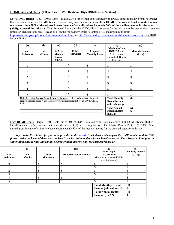#### **HOME Assisted Units (Fill out Low HOME Rents and High HOME Rents Sections)**

Low HOME Rents: Low HOME Rents - at least 20% of the rental units assisted with HOME funds must have rents no greater than the established Low HOME Rents. These are very low-income families. **Low HOME Rents are defined as rents that are not greater than 30% of the adjusted gross income of a family whose income is 50% of the median income for the area (AMI), adjusted for unit size.** Your Proposed Rents plus the HUD Utility Allowance for the unit cannot be greater than these rent limits for each bedroom size. Please click on the following website to obtain HUD maximum rent limits http://www.hud.gov/cpd/home/limits/rent/rentlimt.html and http://www.hud.gov/cpd/home/limits/income/income.html for HUD income limits.

| (a)<br># of<br><b>Bedrooms</b>                                                                                                                                                             | (b)<br>#<br>of Units | $\left( \mathbf{c} \right)$<br>% Area<br><b>Median</b><br><b>Income</b><br>(30/50) | (d)<br><b>Utility</b><br><b>Allowance</b> | (e)<br><b>Proposed</b><br><b>Monthly Rents</b> | (f)<br><b>Maximum Low</b><br><b>HOME Rent*</b><br>$(d + e$ cannot<br>exceed HUD max<br>low rent) | (g)<br><b>Monthly Income</b><br>(b x e) |
|--------------------------------------------------------------------------------------------------------------------------------------------------------------------------------------------|----------------------|------------------------------------------------------------------------------------|-------------------------------------------|------------------------------------------------|--------------------------------------------------------------------------------------------------|-----------------------------------------|
| $\boldsymbol{0}$                                                                                                                                                                           |                      |                                                                                    | \$                                        | \$                                             | \$                                                                                               | \$                                      |
|                                                                                                                                                                                            |                      |                                                                                    | \$                                        | \$                                             | \$                                                                                               | \$                                      |
| $\overline{2}$                                                                                                                                                                             |                      |                                                                                    | \$                                        | \$                                             | \$                                                                                               | \$                                      |
| $\mathcal{E}$                                                                                                                                                                              |                      |                                                                                    | \$                                        | \$                                             | \$                                                                                               | \$                                      |
| 4                                                                                                                                                                                          |                      |                                                                                    | \$                                        | \$                                             | \$                                                                                               | \$                                      |
| 5                                                                                                                                                                                          |                      |                                                                                    | \$                                        | \$                                             | \$                                                                                               | \$                                      |
| <b>Units Receiving Project Based Rental Assistance:</b><br>Separately indicate those units<br>receiving project based rental assistance which increases rents beyond HOME/LIHTC<br>limits. |                      | <b>Total Monthly</b><br><b>Rental Income</b><br>(add column g)                     | (h)<br>\$                                 |                                                |                                                                                                  |                                         |
|                                                                                                                                                                                            |                      |                                                                                    |                                           |                                                | <b>Total Annual</b><br><b>Rental Income</b><br>(h x 12)                                          | (i)<br>\$                               |

**High HOME Rents**: High HOME Rents - up to 80% of HOME-assisted rental units may have High HOME Rents. Higher HOME rents are defined as units with rents the lesser of (1) the existing Section 8 Fair Market Rents (FMR) or (2) 30% of the annual gross income of a family whose income equals 65% of the median income for the area, adjusted for unit size.

*Refer to the Rent Limits for your area provided in the website listed above and compare the FMR number and the 65% figure. Write the lower of these two numbers in the last column above for each bedroom size. Your Proposed Rent plus the Utility Allowance for the unit cannot be greater than this rent limit for each bedroom size.* 

| (j)             | $\left( \mathbf{k}\right)$ | $\mathbf{I}$     | (m)                           | (n)                         | $\boldsymbol{\left( \mathbf{0} \right)}$ |
|-----------------|----------------------------|------------------|-------------------------------|-----------------------------|------------------------------------------|
|                 |                            |                  |                               | Max High                    | monthly income                           |
| # of            | # of                       | <b>Utility</b>   | <b>Proposed Monthly Rents</b> | <b>HOME</b> rent            | $(k \times m)$                           |
| <b>Bedrooms</b> | of units                   | <b>Allowance</b> |                               | $(1 + m$ cannot exceed HUD  |                                          |
|                 |                            |                  |                               | max high rents)             |                                          |
| 0               |                            | ¢<br>۵.          | Φ<br>۰D.                      | c                           | \$                                       |
|                 |                            | ዕ<br>۵.          |                               |                             |                                          |
|                 |                            | ۰D.              |                               |                             |                                          |
|                 |                            | Φ<br>ה.          |                               |                             |                                          |
|                 |                            | ¢<br>۵.          |                               |                             |                                          |
|                 |                            | ዕ                |                               |                             |                                          |
|                 |                            |                  |                               | <b>Total Monthly Rental</b> | (p)                                      |
|                 |                            |                  |                               | Income (add column o)       | D                                        |
|                 |                            |                  |                               | <b>Total Annual Rental</b>  | (q)                                      |
|                 |                            |                  |                               | Income $(p \times 12)$      |                                          |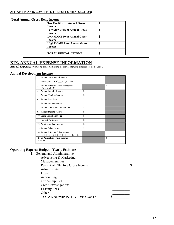#### **ALL APPLICANTS COMPLETE THE FOLLOWING SECTION:**

#### **Total Annual Gross Rent Income:**

| <b>Tax Credit Rent Annual Gross</b>  | \$ |
|--------------------------------------|----|
| Income                               |    |
| <b>Fair Market Rent Annual Gross</b> | \$ |
| Income                               |    |
| <b>Low HOME Rent Annual Gross</b>    | \$ |
| Income                               |    |
| <b>High HOME Rent Annual Gross</b>   | \$ |
| Income                               |    |
|                                      |    |
| <b>TOTAL RENTAL INCOME</b>           |    |
|                                      |    |

### **XIX. ANNUAL EXPENSE INFORMATION**

**Annual Expenses** (Complete this section listing the annual operating expenses for all the units).

#### **Annual Development Income**

| Annual Gross Rental Income                                               | S  |    |
|--------------------------------------------------------------------------|----|----|
| 2.<br>Vacancy Factor of $\%$ (5-10%)                                     | S  |    |
| Annual Effective Gross Residential<br>3 <sub>1</sub><br>Income $(1 - 2)$ |    | S  |
| Annual Laundry Income<br>4 <sup>1</sup>                                  | S  |    |
| 5. Annual Vending Income                                                 | \$ |    |
| 6. Annual Late Fees                                                      | S  |    |
| 7 <sup>1</sup><br>Annual Interest Income                                 | \$ |    |
| Annual Non-refundable Pet Fee<br>8.                                      | S  |    |
| 9. Interest Income-reserve                                               | \$ |    |
| 10. Lease Cancellation Fee                                               | S  |    |
| 11. Deposit Forfeitures                                                  | S  |    |
| 12. Application Fee Income                                               | S  |    |
| 13. Annual Other Income                                                  | \$ |    |
| 14. Annual Effective Other Income<br>$(4+5+6+7+8+9+10+11+12+13)$         |    | \$ |
| <b>Total Annual Effective Income</b><br>$(3+14)$                         |    | \$ |

#### **Operating Expense Budget - Yearly Estimate**   $\overline{1}$ . General and Administrative and Administrative and Administrative and Administrative and Administrative and Administrative and Administrative and Administrative and Administrative and Administrative and Administr

| 1. General and Administrative     |               |
|-----------------------------------|---------------|
| Advertising & Marketing           |               |
| Management Fee                    |               |
| Percent of Effective Gross Income | $\frac{0}{0}$ |
| Administrative                    |               |
| Legal                             |               |
| Accounting                        |               |
| Office Supplies                   |               |
| <b>Credit Investigations</b>      |               |
| Leasing Fees                      |               |
| Other                             |               |
| <b>TOTAL ADMINISTRATIVE COSTS</b> |               |
|                                   |               |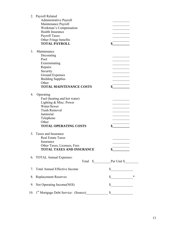|    | 2. Payroll Related<br><b>Administrative Payroll</b><br>Maintenance Payroll<br>Workman's Compensation<br><b>Health Insurance</b><br>Payroll Taxes<br>Other Fringe benefits<br><b>TOTAL PAYROLL</b> |                      |
|----|---------------------------------------------------------------------------------------------------------------------------------------------------------------------------------------------------|----------------------|
| 3. | Maintenance<br>Decorating<br>Pool<br>Exterminating<br>Repairs<br>Security<br>Ground Expenses<br><b>Building Supplies</b><br>Other<br><b>TOTAL MAINTENANCE COSTS</b>                               |                      |
| 4. | Operating<br>Fuel (heating and hot water)<br>Lighting & Misc. Power<br>Water/Sewer<br><b>Trash Removal</b><br>Janitorial<br>Telephone<br>Other<br><b>TOTAL OPERATING COSTS</b>                    |                      |
| 5. | Taxes and Insurance<br><b>Real Estate Taxes</b><br>Insurance<br>Other Taxes, Licenses, Fees<br><b>TOTAL TAXES AND INSURANCE</b>                                                                   |                      |
|    | 6. TOTAL Annual Expenses:                                                                                                                                                                         | Total \$ Per Unit \$ |
| 7. | <b>Total Annual Effective Income</b>                                                                                                                                                              | \$                   |
| 8. | <b>Replacement Reserves</b>                                                                                                                                                                       | \$                   |
|    | 9. Net Operating Income(NOI)                                                                                                                                                                      | $\mathbb{S}$         |
|    | 10. 1 <sup>st</sup> Mortgage Debt Service: (Source)                                                                                                                                               | \$                   |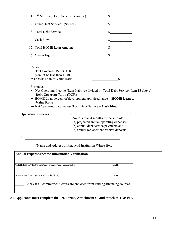| \$                                                                                                                                                                                                                                  |
|-------------------------------------------------------------------------------------------------------------------------------------------------------------------------------------------------------------------------------------|
| \$                                                                                                                                                                                                                                  |
| \$                                                                                                                                                                                                                                  |
| $\mathbb{S}$                                                                                                                                                                                                                        |
| $\frac{0}{0}$                                                                                                                                                                                                                       |
|                                                                                                                                                                                                                                     |
| • Net Operating Income (Item 9 above) divided by Total Debt Service (Item 13 above) $=$<br>• HOME Loan percent of development appraised value = <b>HOME Loan to</b><br>••• Net Operating Income less Total Debt Service = Cash Flow |
| ∗                                                                                                                                                                                                                                   |
|                                                                                                                                                                                                                                     |
| (a) projected annual operating expenses,                                                                                                                                                                                            |
| (b) annual debt service payments and<br>(c) annual replacement reserve deposits)                                                                                                                                                    |
|                                                                                                                                                                                                                                     |
| <u> 1989 - Johann Barn, mars eta bat erroman erroman erroman erroman erroman erroman erroman erroman erroman err</u>                                                                                                                |
| (Name and Address of Financial Institution Where Held)                                                                                                                                                                              |
|                                                                                                                                                                                                                                     |
| <b>DATE</b>                                                                                                                                                                                                                         |
| <b>DATE</b>                                                                                                                                                                                                                         |
| Check if all commitment letters are enclosed from lending/financing sources                                                                                                                                                         |
|                                                                                                                                                                                                                                     |

11. 2nd Mortgage Debt Service: (Source)\_\_\_\_\_\_\_\_\_\_\_\_ \$\_\_\_\_\_\_\_\_\_\_\_\_\_

12. Other Debt Service: (Source)  $\qquad \qquad$  \$

14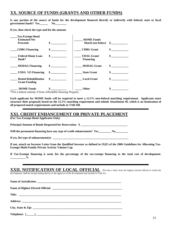### **XX. SOURCE OF FUNDS (GRANTS AND OTHER FUNDS)**

**Is any portion of the source of funds for the development financed directly or indirectly with federal, state or local government funds? Yes\_\_\_\_\_\_ No\_\_\_\_\_\_\_\_** 

**If yes, then check the type and list the amount.** 

| <b>Tax-Exempt Bond</b>                               |                             |                                       |                             |
|------------------------------------------------------|-----------------------------|---------------------------------------|-----------------------------|
| <b>Estimated Net</b>                                 |                             | <b>HOME Funds</b>                     |                             |
| <b>Proceeds</b>                                      | \$                          | <b>Match (see below)</b>              | $\mathbf{s}$                |
| <b>CDBG</b> Financing                                |                             | <b>CDBG</b> Grant                     | \$                          |
| <b>Federal Home Loan</b><br>Bank*                    | $\sim$                      | <b>UDAG Grant</b><br><b>Financing</b> | $\sim$                      |
| <b>HODAG Financing</b>                               | $\frac{\text{S}}{\text{S}}$ | <b>HODAG</b> Grant                    | $\frac{\text{S}}{\text{S}}$ |
| USDA 515 Financing                                   | $\sim$                      | <b>State Grant</b>                    | $\mathbf{s}$                |
| <b>Rental Rehabilitation</b><br><b>Grant Funding</b> | $\frac{\text{S}}{\text{S}}$ | <b>Local Grant</b>                    | \$                          |
| <b>HOME Funds</b>                                    |                             | <b>Other</b>                          |                             |

\*Not a federal subsidy if from Affordable Housing Program

**Each applicant for HOME funds will be required to meet a 12.5% non-federal matching requirement. Applicants must structure their proposals based on the 12.5% matching requirement and submit Attachment M, which is an itemization of all proposed match requirements and include in TAB #48.** 

### **XXI. CREDIT ENHANCEMENT OR PRIVATE PLACEMENT**

**(For Tax-Exempt Bond Applicants Only)** 

Principal Amount of Bonds Requested for Reservation \$

Will the permanent financing have any type of credit enhancement? Yes No

If yes, list type of enhancement(s):

**If not, attach an Investor Letter from the Qualified Investor as defined in IX(F) of the 2006 Guidelines for Allocating Tax-Exempt Multi-Family Private Activity Volume Cap.** 

**If Tax-Exempt financing is used, list the percentage of the tax-exempt financing to the total cost of development:**   $\frac{6}{2}$ 

### **XXII. NOTIFICATION OF LOCAL OFFICIAL** (Provide a letter from the highest elected official in which the

development shall be located stating that he or she approves of the development and include in TAB #9.)

| City, State & Zip: |
|--------------------|
|                    |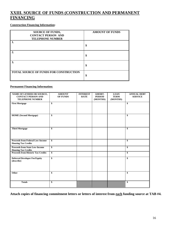### **XXIII. SOURCE OF FUNDS (CONSTRUCTION AND PERMANENT FINANCING**

#### **Construction Financing Information:**

| <b>SOURCE OF FUNDS,</b><br><b>CONTACT PERSON AND</b><br><b>TELEPHONE NUMBER</b> | <b>AMOUNT OF FUNDS</b> |
|---------------------------------------------------------------------------------|------------------------|
|                                                                                 | \$                     |
|                                                                                 | \$                     |
| 3.                                                                              | \$                     |
| <b>TOTAL SOURCE OF FUNDS FOR CONSTRUCTION</b>                                   | \$                     |

#### **Permanent Financing Information:**

| NAME OF LENDER OR SOURCE,<br><b>CONTACT PERSON AND</b><br><b>TELEPHONE NUMBER</b> | <b>AMOUNT</b><br><b>OF FUNDS</b> | <b>INTEREST</b><br><b>RATE</b> | AMORT.<br><b>PERIOD</b><br>(MONTHS) | <b>LOAN</b><br><b>TERM</b><br>(MONTHS) | <b>ANNUAL DEBT</b><br><b>SERVICE</b> |
|-----------------------------------------------------------------------------------|----------------------------------|--------------------------------|-------------------------------------|----------------------------------------|--------------------------------------|
| <b>First Mortgage</b>                                                             | \$                               |                                |                                     |                                        | $\mathbf{s}$                         |
| <b>HOME</b> (Second Mortgage)                                                     | \$                               |                                |                                     |                                        | \$                                   |
| <b>Third Mortgage</b>                                                             | \$                               |                                |                                     |                                        | \$                                   |
| <b>Proceeds from Federal Low-Income</b><br><b>Housing Tax Credits</b>             | \$                               |                                |                                     |                                        | \$                                   |
| <b>Proceeds from State Low-Income</b><br><b>Housing Tax Credits</b>               | \$                               |                                |                                     |                                        | \$                                   |
| <b>Proceeds from Historic Tax Credits</b>                                         | $\overline{\$}$                  |                                |                                     |                                        | \$                                   |
| <b>Deferred Developer Fee/Equity</b><br>(describe)                                | \$                               |                                |                                     |                                        | \$                                   |
| Other                                                                             | \$                               |                                |                                     |                                        | \$                                   |
| <b>Totals</b>                                                                     | \$                               |                                |                                     |                                        | \$                                   |

**Attach copies of financing commitment letters or letters of interest from each funding source at TAB #4.**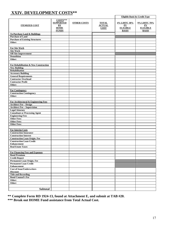### **XXIV. DEVELOPMENT COSTS\*\***

|                                         |                                                                   |                    |                                              |                                                       | <b>Eligible Basis by Credit Type</b>                  |
|-----------------------------------------|-------------------------------------------------------------------|--------------------|----------------------------------------------|-------------------------------------------------------|-------------------------------------------------------|
| <b>ITEMIZED COST</b>                    | COSTS***<br><b>SUPPORTED</b><br>BY<br><b>HOME</b><br><b>FUNDS</b> | <b>OTHER COSTS</b> | <b>TOTAL</b><br><b>ACTUAL</b><br><b>COST</b> | 4% LIHTC 30%<br>PV<br><b>ELIGIBLE</b><br><b>BASIS</b> | 9% LIHTC 70%<br>PV<br><b>ELIGIBLE</b><br><b>BASIS</b> |
| <b>To Purchase Land &amp; Buildings</b> |                                                                   |                    |                                              |                                                       |                                                       |
| <b>Purchase of Land</b>                 |                                                                   |                    |                                              |                                                       |                                                       |
| <b>Purchase of Existing Structures</b>  |                                                                   |                    |                                              |                                                       |                                                       |
| Other:                                  |                                                                   |                    |                                              |                                                       |                                                       |
|                                         |                                                                   |                    |                                              |                                                       |                                                       |
| <b>For Site Work</b>                    |                                                                   |                    |                                              |                                                       |                                                       |
| <b>Site Work</b>                        |                                                                   |                    |                                              |                                                       |                                                       |
| <b>Off Site Improvement</b>             |                                                                   |                    |                                              |                                                       |                                                       |
| <b>Demolition</b>                       |                                                                   |                    |                                              |                                                       |                                                       |
| Other:                                  |                                                                   |                    |                                              |                                                       |                                                       |
|                                         |                                                                   |                    |                                              |                                                       |                                                       |
| For Rehabilitation & New Construction   |                                                                   |                    |                                              |                                                       |                                                       |
|                                         |                                                                   |                    |                                              |                                                       |                                                       |
| <b>New Building</b><br>Rehabilitation   |                                                                   |                    |                                              |                                                       |                                                       |
|                                         |                                                                   |                    |                                              |                                                       |                                                       |
| <b>Accessory Building</b>               |                                                                   |                    |                                              |                                                       |                                                       |
| <b>General Requirements</b>             |                                                                   |                    |                                              |                                                       |                                                       |
| <b>Contractor Overhead</b>              |                                                                   |                    |                                              |                                                       |                                                       |
| <b>Contractor Profit</b>                |                                                                   |                    |                                              |                                                       |                                                       |
| Other:                                  |                                                                   |                    |                                              |                                                       |                                                       |
|                                         |                                                                   |                    |                                              |                                                       |                                                       |
| <b>For Contingency</b>                  |                                                                   |                    |                                              |                                                       |                                                       |
| <b>Construction Contingency</b>         |                                                                   |                    |                                              |                                                       |                                                       |
| Other:                                  |                                                                   |                    |                                              |                                                       |                                                       |
|                                         |                                                                   |                    |                                              |                                                       |                                                       |
| For Architectural & Engineering Fees    |                                                                   |                    |                                              |                                                       |                                                       |
| <b>Architect Fee - Design</b>           |                                                                   |                    |                                              |                                                       |                                                       |
| <b>Architect Fee - Supervision</b>      |                                                                   |                    |                                              |                                                       |                                                       |
| <b>Legal Attorney</b>                   |                                                                   |                    |                                              |                                                       |                                                       |
| <b>Consultant or Processing Agent</b>   |                                                                   |                    |                                              |                                                       |                                                       |
| <b>Engineering Fees</b>                 |                                                                   |                    |                                              |                                                       |                                                       |
| <b>Other Fees:</b>                      |                                                                   |                    |                                              |                                                       |                                                       |
| <b>Other Fees:</b>                      |                                                                   |                    |                                              |                                                       |                                                       |
| <b>Other Fees:</b>                      |                                                                   |                    |                                              |                                                       |                                                       |
|                                         |                                                                   |                    |                                              |                                                       |                                                       |
| <b>For Interim Costs</b>                |                                                                   |                    |                                              |                                                       |                                                       |
| <b>Construction Insurance</b>           |                                                                   |                    |                                              |                                                       |                                                       |
| <b>Construction Interest</b>            |                                                                   |                    |                                              |                                                       |                                                       |
| <b>Construction Loan Origin. Fee</b>    |                                                                   |                    |                                              |                                                       |                                                       |
| <b>Construction Loan Credit</b>         |                                                                   |                    |                                              |                                                       |                                                       |
| <b>Enhancement</b>                      |                                                                   |                    |                                              |                                                       |                                                       |
| <b>Real Estate Taxes</b>                |                                                                   |                    |                                              |                                                       |                                                       |
|                                         |                                                                   |                    |                                              |                                                       |                                                       |
| <b>For Financing Fees and Expenses</b>  |                                                                   |                    |                                              |                                                       |                                                       |
| <b>Bond Premium</b>                     |                                                                   |                    |                                              |                                                       |                                                       |
| <b>Credit Report</b>                    |                                                                   |                    |                                              |                                                       |                                                       |
| <b>Permanent Loan Origin. Fee</b>       |                                                                   |                    |                                              |                                                       |                                                       |
| <b>Permanent Loan Credit</b>            |                                                                   |                    |                                              |                                                       |                                                       |
| <b>Enhancement</b>                      |                                                                   |                    |                                              |                                                       |                                                       |
| <b>Cost of Issue/Underwriters</b>       |                                                                   |                    |                                              |                                                       |                                                       |
| <b>Discount</b>                         |                                                                   |                    |                                              |                                                       |                                                       |
| <b>Title and Recording</b>              |                                                                   |                    |                                              |                                                       |                                                       |
| <b>Bond Counsel's Fee</b>               |                                                                   |                    |                                              |                                                       |                                                       |
| Other:                                  |                                                                   |                    |                                              |                                                       |                                                       |
| Other:                                  |                                                                   |                    |                                              |                                                       |                                                       |
|                                         |                                                                   |                    |                                              |                                                       |                                                       |
| <b>Subtotal</b>                         |                                                                   |                    |                                              |                                                       |                                                       |
|                                         |                                                                   |                    |                                              |                                                       |                                                       |

 $\overline{a}$ 

**\*\* Complete Form RD 1924-13, found at Attachment E, and submit at TAB #20. \*\*\* Break out HOME Fund assistance from Total Actual Cost.**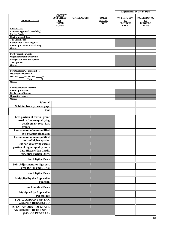|                                                                         |                                                                   |                    |                                              |                                                       | <b>Eligible Basis by Credit Type</b>                          |
|-------------------------------------------------------------------------|-------------------------------------------------------------------|--------------------|----------------------------------------------|-------------------------------------------------------|---------------------------------------------------------------|
| <b>ITEMIZED COST</b>                                                    | COSTS***<br><b>SUPPORTED</b><br>BY<br><b>HOME</b><br><b>FUNDS</b> | <b>OTHER COSTS</b> | <b>TOTAL</b><br><b>ACTUAL</b><br><b>COST</b> | 4% LIHTC 30%<br>PV<br><b>ELIGIBLE</b><br><b>BASIS</b> | 9% LIHTC 70%<br>${\bf PV}$<br><b>ELIGIBLE</b><br><b>BASIS</b> |
| <b>For Soft Cost</b>                                                    |                                                                   |                    |                                              |                                                       |                                                               |
| <b>Property Appraisal (Feasibility)</b><br><b>Market Study</b>          |                                                                   |                    |                                              |                                                       |                                                               |
| <b>Environmental Report</b>                                             |                                                                   |                    |                                              |                                                       |                                                               |
| <b>Tax Credit Fees</b>                                                  |                                                                   |                    |                                              |                                                       |                                                               |
| <b>Compliance/Monitoring Fee</b>                                        |                                                                   |                    |                                              |                                                       |                                                               |
| <b>Lease-Up Expense &amp; Marketing</b><br>Other:                       |                                                                   |                    |                                              |                                                       |                                                               |
|                                                                         |                                                                   |                    |                                              |                                                       |                                                               |
| <b>For Syndication Costs</b>                                            |                                                                   |                    |                                              |                                                       |                                                               |
| <b>Organizational (Partnership)</b>                                     |                                                                   |                    |                                              |                                                       |                                                               |
| <b>Bridge Loan Fees &amp; Expenses</b><br><b>Tax Opinion</b>            |                                                                   |                    |                                              |                                                       |                                                               |
| Other:                                                                  |                                                                   |                    |                                              |                                                       |                                                               |
|                                                                         |                                                                   |                    |                                              |                                                       |                                                               |
| <b>For Developer/Consultant Fees</b>                                    |                                                                   |                    |                                              |                                                       |                                                               |
| <b>Developer's Overhead</b><br>Dev Fee ___% Cons Fee _<br>$\frac{0}{0}$ |                                                                   |                    |                                              |                                                       |                                                               |
| <b>Total</b><br>$\frac{6}{9}$                                           |                                                                   |                    |                                              |                                                       |                                                               |
| Other:                                                                  |                                                                   |                    |                                              |                                                       |                                                               |
|                                                                         |                                                                   |                    |                                              |                                                       |                                                               |
| <b>For Development Reserves</b>                                         |                                                                   |                    |                                              |                                                       |                                                               |
| <b>Lease-Up Reserve</b><br><b>Replacement Reserve</b>                   |                                                                   |                    |                                              |                                                       |                                                               |
| <b>Operating Reserve</b>                                                |                                                                   |                    |                                              |                                                       |                                                               |
| Other:                                                                  |                                                                   |                    |                                              |                                                       |                                                               |
| <b>Subtotal</b>                                                         |                                                                   |                    |                                              |                                                       |                                                               |
| Subtotal from previous page                                             |                                                                   |                    |                                              |                                                       |                                                               |
| <b>Total</b>                                                            |                                                                   |                    |                                              |                                                       |                                                               |
| Less portion of federal grant                                           |                                                                   |                    |                                              |                                                       |                                                               |
| used to finance qualifying                                              |                                                                   |                    |                                              |                                                       |                                                               |
| development cost. List                                                  |                                                                   |                    |                                              |                                                       |                                                               |
| grants                                                                  |                                                                   |                    |                                              |                                                       |                                                               |
| Less amount of non-qualified                                            |                                                                   |                    |                                              |                                                       |                                                               |
| non-recourse financing                                                  |                                                                   |                    |                                              |                                                       |                                                               |
| Less amount of non-qualified                                            |                                                                   |                    |                                              |                                                       |                                                               |
| units of higher quality                                                 |                                                                   |                    |                                              |                                                       |                                                               |
| Less non-qualifying excess                                              |                                                                   |                    |                                              |                                                       |                                                               |
| portion of higher quality units                                         |                                                                   |                    |                                              |                                                       |                                                               |
| <b>Less Historic Tax Credit</b><br>(Residential Portion Only)           |                                                                   |                    |                                              |                                                       |                                                               |
| <b>Net Eligible Basis</b>                                               |                                                                   |                    |                                              |                                                       |                                                               |
| 30% Adjustment for high cost<br>area (QCTs and DDAs)                    |                                                                   |                    |                                              |                                                       |                                                               |
| <b>Total Eligible Basis</b>                                             |                                                                   |                    |                                              |                                                       |                                                               |
| <b>Multiplied by the Applicable</b><br><b>Fraction</b>                  |                                                                   |                    |                                              |                                                       |                                                               |
| <b>Total Qualified Basis</b>                                            |                                                                   |                    |                                              |                                                       |                                                               |
| <b>Multiplied by Applicable</b>                                         |                                                                   |                    |                                              |                                                       |                                                               |
| Percentage<br><b>TOTAL AMOUNT OF TAX</b>                                |                                                                   |                    |                                              |                                                       |                                                               |
| <b>CREDITS REQUESTED</b>                                                |                                                                   |                    |                                              |                                                       |                                                               |
| <b>TOTAL AMOUNT OF STATE</b><br><b>TAX CREDITS REQUESTED</b>            |                                                                   |                    |                                              |                                                       |                                                               |
| (20% OF FEDERAL)                                                        |                                                                   |                    |                                              |                                                       |                                                               |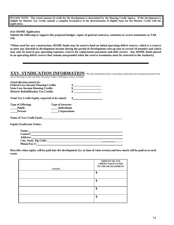**PLEASE NOTE: The actual amount of credit for the development is determined by the Housing Credit Agency. If the development is eligible for Historic Tax Credit, include a complete breakdown of the determination of eligible basis for the Historic Credit with the application.** 

#### **(For HOME Applicants)**

**Submit the following to support this proposed budget: copies of general contracts, estimates or sworn statements at TAB #36.** 

**\*When used for new construction, HOME funds may be used to fund an initial operating deficit reserve, which is a reserve to meet any shortfall in development income during the period of development rent-up (not to exceed 18 months) and which may only be used to pay operating expenses, reserve for replacement payments and debt service. Any HOME funds placed in an operating deficit reserve that remain unexpended when the reserve terminates must be returned to the Authority.** 

### **XXV. SYNDICATION INFORMATION** (Provide information below concerning syndication and estimated proceeds from

sale of Housing Credits and State Housing Credits if utilizing as source of funds)

 **City, State, Zip Code: \_\_\_\_\_\_\_\_\_ Phone/Fax #:** 

| <b>Annual allocation amounts for:</b>          |                          |    |  |  |  |
|------------------------------------------------|--------------------------|----|--|--|--|
| <b>Federal Low-Income Housing Credits</b>      |                          | \$ |  |  |  |
| <b>State Low-Income Housing Credits</b>        |                          | \$ |  |  |  |
| <b>Historic Rehabilitation Tax Credits</b>     |                          | \$ |  |  |  |
| Total Tax Credit Equity expected to be raised: |                          | \$ |  |  |  |
| <b>Type of Offering:</b>                       | <b>Type of Investor:</b> |    |  |  |  |
| <b>Public</b>                                  | <b>Individuals</b>       |    |  |  |  |
| <b>Private</b>                                 | <b>Corporations</b>      |    |  |  |  |
| <b>Name of Tax Credit Fund:</b>                |                          |    |  |  |  |
| <b>Equity/Syndicator Entity:</b>               |                          |    |  |  |  |
| Name:                                          |                          |    |  |  |  |
| <b>Contact:</b>                                |                          |    |  |  |  |
| <b>Address:</b>                                |                          |    |  |  |  |

**Describe when equity will be paid into the development (i.e. at time of what events) and how much will be paid in at each event:** 

| <b>EVENT</b> | <b>AMOUNT OF TAX</b><br><b>CREDIT EQUITY PAID</b><br>TO THE DEVELOPMENT |
|--------------|-------------------------------------------------------------------------|
|              | ¢<br>۰D                                                                 |
|              | \$                                                                      |
|              | ¢<br>J                                                                  |
|              | ¢<br>Φ                                                                  |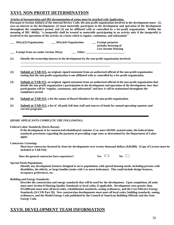### **XXVI. NON-PROFIT DETERMINATION**

**Articles of Incorporation and IRS documentation of status must be attached with Application.**

**Pursuant to Section 42(h)(5) of the Internal Review Code, the non-profit organization involved in the development must: (1) own an interest in the development; (2) must materially participate in the development and operation of the development throughout the compliance period; and (3) not be affiliated with or controlled by a for-profit organization. Within the meaning of IRC 469(h), "a (nonprofit) shall be treated as materially participating in an activity only if the (nonprofit) is involved in the operations of the activity on a basis which is regular, continuous, and substantial."** 

**\_\_\_\_\_\_\_\_\_\_\_\_\_\_\_\_\_\_\_\_\_\_\_\_\_\_\_\_\_\_\_\_\_\_\_\_\_\_\_\_\_\_\_\_\_\_\_\_\_\_\_\_\_\_\_\_\_\_\_\_\_\_\_\_\_\_\_\_\_\_\_\_\_\_\_\_\_\_\_\_\_\_\_\_\_\_\_\_\_\_\_\_\_\_\_\_\_\_\_**

| $501(c)(3)$ Organization               | $501(c)(4)$ Organization | <b>Exempt purposes</b><br>includes fostering of<br><b>Low-Income Housing</b> |
|----------------------------------------|--------------------------|------------------------------------------------------------------------------|
| Exempt from tax under Section $501(a)$ | Other:                   |                                                                              |

**\_\_\_\_\_\_\_\_\_\_\_\_\_\_\_\_\_\_\_\_\_\_\_\_\_\_\_\_\_\_\_\_\_\_\_\_\_\_\_\_\_\_\_\_\_\_\_\_\_\_\_\_\_\_\_\_\_\_\_\_\_\_\_** 

- **(1) Identify the ownership interest in the development by the non-profit organization involved:**
- **(2) Submit at TAB #13, an original, signed statement from an authorized official of the non-profit organization stating that the non-profit organization is not affiliated with or controlled by a for-profit organization.**
- **(3) Submit at TAB #13, an original, signed statement from an authorized official of the non-profit organization that details the non-profit organization's participation in the development and operation of the development, how that participation will be "regular, continuous, and substantial" and how it will be maintained throughout the compliance period.**
- **(4) Submit at TAB #13, a list the names of Board Members for the non-profit organization.**
- **(5) Submit at TAB #13, a list of all paid, full time staff and sources of funds for annual operating expenses and current programs.**

#### **(HOME APPLICANTS COMPLETE THE FOLLOWING)**

#### **Federal Labor Standards (Davis-Bacon):**

**If the development to be constructed/rehabilitated contains 12 or more HOME assisted units, the federal labor standards provisions regarding the payment of prevailing wage rates as determined by the Department of Labor apply.** 

**Contractor Licensing:** 

**Must have contractor licensed by State for developments over twenty thousand dollars (\$20,000). (Copy of License must be included at TAB #34)** 

|  |  | Does the general contractor have experience? | Y es | No |
|--|--|----------------------------------------------|------|----|
|--|--|----------------------------------------------|------|----|

| es | Ńо<br>N |  |
|----|---------|--|
|----|---------|--|

**Special Needs Populations:** 

**Identify any development features designed to serve populations with special housing needs, including persons with disabilities, the elderly, or large families (units with 3 or more bedrooms). This could include design features, occupancy preferences, etc.** 

#### **Building and Energy Standards:**

**Describe the construction and energy standards that will be used for the development. Upon completion, all units must meet Section 8 Housing Quality Standards or local codes, if applicable. Development costs greater than \$25,000/unit must meet all local codes, rehabilitation standards, zoning ordinances, and the Cost Effective Energy Standards (24 CFR Part 39). New construction developments must meet all local codes, building standards, zoning ordinances, and the Model Energy Code published by the Council of American Building Officials and the State Energy Code.** 

### **XXVII. DEVELOPMENT TEAM INFORMATION**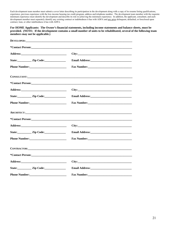Each development team member must submit a cover letter describing its participation in the development along with a copy of its resume listing qualifications, experience, previous experience with the low-income housing tax credit program, address and telephone number. The development team member with the requisite minimum experience must identify the development and describe its role in achieving the minimum experience. In addition, the applicant, consultant, and each development member must separately identify any existing contract or indebtedness it has with ADFA and any prior delinquent, defaulted, or foreclosed upon contract, loan, or other indebtedness it has with ADFA.

**For HOME Applicants: The Owner's financial statements, including income statements and balance sheets, must be provided. (NOTE: If the development contains a small number of units to be rehabilitated, several of the following team members may not be applicable.)** 

|                                                                                                                                                                                                                                | CONSULTANT:      |
|--------------------------------------------------------------------------------------------------------------------------------------------------------------------------------------------------------------------------------|------------------|
|                                                                                                                                                                                                                                |                  |
|                                                                                                                                                                                                                                |                  |
|                                                                                                                                                                                                                                |                  |
|                                                                                                                                                                                                                                |                  |
|                                                                                                                                                                                                                                |                  |
|                                                                                                                                                                                                                                |                  |
|                                                                                                                                                                                                                                |                  |
| State: <u>Zip Code:</u>                                                                                                                                                                                                        |                  |
|                                                                                                                                                                                                                                | Fax Number:      |
| <b>CONTRACTOR: CONTRACTOR</b>                                                                                                                                                                                                  |                  |
|                                                                                                                                                                                                                                | *Contact Person: |
| Address: No. 1996. The Manual Science of the Manual Science of the Manual Science of the Manual Science of the Manual Science of the Manual Science of the Manual Science of the Manual Science of the Manual Science of the M |                  |
| State: <u>Zip Code:</u>                                                                                                                                                                                                        |                  |
|                                                                                                                                                                                                                                |                  |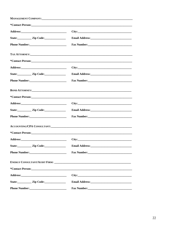| City:                                                               |
|---------------------------------------------------------------------|
|                                                                     |
|                                                                     |
| <b>BOND ATTORNEY: Example 2008 CONDITIONS CONDITIONS CONDITIONS</b> |
|                                                                     |
|                                                                     |
|                                                                     |
|                                                                     |
| ACCOUNTING/CPA CONSULTANT:                                          |
|                                                                     |
|                                                                     |
|                                                                     |
|                                                                     |
|                                                                     |
|                                                                     |
|                                                                     |
|                                                                     |
|                                                                     |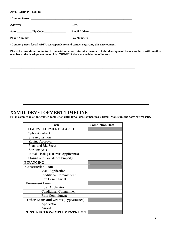| APPLICATION PREPARER: University of the contract of the contract of the contract of the contract of the contract of the contract of the contract of the contract of the contract of the contract of the contract of the contra |  |  |  |  |  |  |  |
|--------------------------------------------------------------------------------------------------------------------------------------------------------------------------------------------------------------------------------|--|--|--|--|--|--|--|
|                                                                                                                                                                                                                                |  |  |  |  |  |  |  |
|                                                                                                                                                                                                                                |  |  |  |  |  |  |  |
| State: <u>Zip Code:</u>                                                                                                                                                                                                        |  |  |  |  |  |  |  |
|                                                                                                                                                                                                                                |  |  |  |  |  |  |  |

**\*Contact person for all ADFA correspondence and contact regarding this development.** 

**Please list any direct or indirect, financial or other interest a member of the development team may have with another member of the development team. List "NONE" if there are no identity of interest.** 

**\_\_\_\_\_\_\_\_\_\_\_\_\_\_\_\_\_\_\_\_\_\_\_\_\_\_\_\_\_\_\_\_\_\_\_\_\_\_\_\_\_\_\_\_\_\_\_\_\_\_\_\_\_\_\_\_\_\_\_\_\_\_\_\_\_\_\_\_\_\_\_\_\_\_\_\_\_\_\_\_\_\_\_\_\_\_\_\_** 

### **XXVIII. DEVELOPMENT TIMELINE**

**Fill in completion or anticipated completion dates for all development tasks listed. Make sure the dates are realistic.** 

| <b>Task</b>                                 | <b>Completion Date</b> |
|---------------------------------------------|------------------------|
| SITE/DEVELOPMENT START UP                   |                        |
| Option/Contract                             |                        |
| <b>Site Acquisition</b>                     |                        |
| Zoning Approval                             |                        |
| Plans and Bid Specs                         |                        |
| Site Analysis                               |                        |
| Initial Closing (HOME Applicants)           |                        |
| Closing and Transfer of Property            |                        |
| <b>FINANCING</b>                            |                        |
| <b>Construction Loan</b>                    |                        |
| Loan Application                            |                        |
| <b>Conditional Commitment</b>               |                        |
| Firm Commitment                             |                        |
| <b>Permanent Loan</b>                       |                        |
| Loan Application                            |                        |
| <b>Conditional Commitment</b>               |                        |
| Firm Commitment                             |                        |
| <b>Other Loans and Grants (Type/Source)</b> |                        |
| Application                                 |                        |
| Award                                       |                        |
| <b>CONSTRUCTION/IMPLEMENTATION</b>          |                        |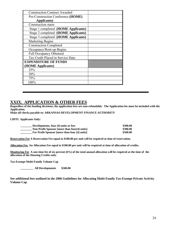| <b>Construction Contract Awarded</b> |  |
|--------------------------------------|--|
| Pre-Construction Conference (HOME)   |  |
| <b>Applicants</b> )                  |  |
| <b>Construction starts</b>           |  |
| Stage 1 completed (HOME Applicants)  |  |
| Stage 2 completed (HOME Applicants)  |  |
| Stage 3 completed (HOME Applicants)  |  |
| <b>Marketing Begins</b>              |  |
| <b>Construction Completed</b>        |  |
| Occupancy/Rent-up Begins             |  |
| <b>Full Occupancy Obtained</b>       |  |
| Tax Credit Placed in Service Date    |  |
| <b>EXPENDITURE OF FUNDS</b>          |  |
| (HOME Applicants)                    |  |
| 25%                                  |  |
| 50%                                  |  |
| 75%                                  |  |
| 100%                                 |  |

### **XXIX. APPLICATION & OTHER FEES**

**Regardless of the funding decisions, the application fees are non-refundable. The Application fee must be included with the Application.** 

**Make all checks payable to: ARKANSAS DEVELOPMENT FINANCE AUTHORITY** 

**LIHTC Applicants Only:** 

| Developments, four (4) units or less                | \$300.00 |
|-----------------------------------------------------|----------|
| <b>Non-Profit Sponsor [more than four(4) units]</b> | \$300.00 |
| For Profit Sponsor [more than four (4) units]       | \$500.00 |

**Reservation Fee A Reservation Fee equal to \$100.00 per unit will be required at time of reservation.** 

**Allocation Fee An Allocation Fee equal to \$100.00 per unit will be required at time of allocation of credits.** 

**Monitoring Fee A one-time fee of six percent (6%) of the total annual allocation will be required at the time of the allocation of the Housing Credits only.** 

**Tax-Exempt Multi-Family Volume Cap** 

 **\_\_\_\_\_\_\_\_\_ All Developments \$500.00** 

**See additional fees outlined in the 2006 Guidelines for Allocating Multi-Family Tax-Exempt Private Activity Volume Cap**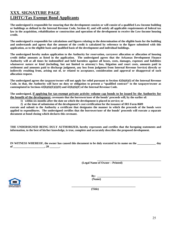### **XXX. SIGNATURE PAGE LIHTC/Tax Exempt Bond Applicants**

**The undersigned is responsible for ensuring that the development consists or will consist of a qualified Low-Income building or buildings as defined in the Internal Revenue Code, Section 42, and will satisfy all applicable requirements of federal tax law in the acquisition, rehabilitation or construction and operation of the development to receive the Low-Income housing credit.** 

**The undersigned is responsible for calculations and figures relating to the determination of the eligible basis for the building and understands and agrees that the amount of the credit is calculated by reference to the figure submitted with this application, as to the eligible basis and qualified basis of the development and individual buildings.** 

**The undersigned hereby makes application to the Authority for reservation, carryover allocation or allocation of housing credit dollar amounts as listed in the application. The undersigned agrees that the Arkansas Development Finance Authority will at all times be indemnified and held harmless against all losses, costs, damages, expenses and liabilities whatsoever nature or kind (including, but not limited to attorney's fees, litigation and court costs, amounts paid in settlement and amounts paid to discharge judgment, any loss from judgment from Internal Revenue Service) directly or indirectly resulting from, arising out of, or related to acceptance, consideration and approval or disapproval of such allocation request.** 

**The undersigned agrees the taxpayer/owner will not apply for relief pursuant to Section 42(h)(6)(I) of the Internal Revenue Code, in that, the Authority will have no duty or obligation to present a "qualified contract" to the taxpayer/owner as contemplated in Sections 42(h)(6)(E)(i)(II) and 42(h)(6)(F) of the Internal Revenue Code.** 

**The undersigned, if applying for tax-exempt private activity volume cap bonds to be issued by the Authority for the benefit of the development, covenants that the borrower/user of the bonds' proceeds will, by the earlier of:** 

 **1) within six months after the date on which the development is placed in service; or** 

 **2) at the time of submission of the development's cost certification for the issuance of IRS Form 8609** 

**execute and submit to the Authority a certificate that designates the manner in which the proceeds of the bonds were applied to expenditures. The undersigned certifies that the borrower/user of the bonds' proceeds will execute a separate document at bond closing which declares this covenant.** 

**THE UNDERSIGNED BEING DULY AUTHORIZED, hereby represents and certifies that the foregoing statements and information, to the best of his/her knowledge, is true, complete and accurately describes the proposed development.** 

**IN WITNESS WHEREOF, the owner has caused this document to be duly executed in its name on the \_\_\_\_\_\_\_\_\_\_\_\_\_ day**  of \_\_\_\_\_\_\_\_\_\_\_\_\_\_\_\_\_\_\_\_\_\_, 20 \_\_\_\_\_\_\_\_.

 **(Legal Name of Owner – Printed)** 

**\_\_\_\_\_\_\_\_\_\_\_\_\_\_\_\_\_\_\_\_\_\_\_\_\_\_\_\_\_\_\_\_\_\_\_\_\_\_\_\_\_\_\_\_\_** 



 $\mathbf{By:}$ 

 **(Title)**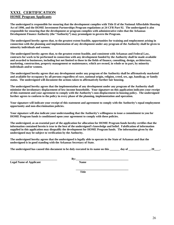### **XXXI. CERTIFICATION HOME Program Applicants**

**The undersigned is responsible for ensuring that the development complies with Title II of the National Affordable Housing Act of 1990, and the HOME Investment Partnerships Program regulations at 24 CFR Part 92. The undersigned is also responsible for ensuring that the development or program complies with administrative rules that the Arkansas Development Finance Authority (the "Authority") may promulgate to govern the Program.** 

**The undersigned hereby agrees that, to the greatest extent feasible, opportunities for training and employment arising in connection with the planning and implementation of any development under any program of the Authority shall be given to minority individuals and women.** 

**The undersigned hereby agrees that, to the greatest extent feasible, and consistent with Arkansas and Federal Law, contracts for work to be performed in connection with any development funded by the Authority shall be made available and awarded to businesses, including but not limited to those in the fields of finance, consulting, design, architecture, marketing, construction, property management or maintenance, which are owned, in whole or in part, by minority individuals and/or women.** 

**The undersigned hereby agrees that any development under any program of the Authority shall be affirmatively marketed and available for occupancy by all persons regardless of race, national origin, religion, creed, sex, age, handicap, or family status. The undersigned will document the actions taken to affirmatively further fair housing.** 

**The undersigned hereby agrees that the implementation of any development under any program of the Authority shall minimize the involuntary displacement of low-income households. Your signature on this application indicates your receipt of this statement and your agreement to comply with the Authority's non-displacement in housing policy. The undersigned further agrees to conform to the policy in every phase of the planning, implementation and operation.** 

**Your signature will indicate your receipt of this statement and agreement to comply with the Authority's equal employment opportunity and non-discrimination policies.** 

**Your signature will also indicate your understanding that the Authority's willingness to issue a commitment to you for HOME Program funds is conditioned upon your agreement to comply with these policies.** 

**The undersigned, as an essential part of the application for allocation for HOME Program funds hereby certifies that the information contained herein is true to the best of the undersigned's knowledge and belief. Falsification of information supplied in this application may disqualify the development for HOME Program funds. The information given by the undersigned may be subject to verification by the Authority.** 

**The undersigned hereby agrees that the undersigned is legally able to operate in the State of Arkansas and that the undersigned is in good standing with the Arkansas Secretary of State.** 

The undersigned has caused this document to be duly executed in its name on this day of the same of  $\cdot$  20  $\cdot$ .

**Legal Name of Applicant Name** Name

**\_\_\_\_\_\_\_\_\_\_\_\_\_\_\_\_\_\_\_\_\_\_\_\_\_\_\_\_\_\_\_\_\_ By:\_\_\_\_\_\_\_\_\_\_\_\_\_\_\_\_\_\_\_\_\_\_\_\_\_\_\_\_\_\_\_\_\_\_\_\_\_** 

 **\_\_\_\_\_\_\_\_\_\_\_\_\_\_\_\_\_\_\_\_\_\_\_\_\_\_\_\_\_\_\_\_\_\_\_\_\_**  *Title*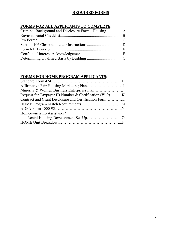### **REQUIRED FORMS**

### **FORMS FOR ALL APPLICANTS TO COMPLETE:**

### **FORMS FOR HOME PROGRAM APPLICANTS:**

| Homeownership Assistance/ |  |
|---------------------------|--|
|                           |  |
|                           |  |
|                           |  |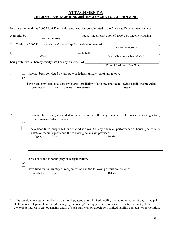#### **ATTACHMENT A CRIMINAL BACKGROUND and DISCLOSURE FORM – HOUSING**

|    |               |                                                  |             |                |                                                                   | In connection with the 2006 Multi-Family Housing Application submitted to the Arkansas Development Finance                                                                                                                              |  |  |  |  |  |
|----|---------------|--------------------------------------------------|-------------|----------------|-------------------------------------------------------------------|-----------------------------------------------------------------------------------------------------------------------------------------------------------------------------------------------------------------------------------------|--|--|--|--|--|
|    |               |                                                  |             |                |                                                                   |                                                                                                                                                                                                                                         |  |  |  |  |  |
|    |               |                                                  |             |                |                                                                   | Tax Credits or 2006 Private Activity Volume Cap for the development of (Name of Development)                                                                                                                                            |  |  |  |  |  |
|    |               |                                                  |             |                |                                                                   |                                                                                                                                                                                                                                         |  |  |  |  |  |
|    |               |                                                  |             |                |                                                                   |                                                                                                                                                                                                                                         |  |  |  |  |  |
| 1. | or            |                                                  |             |                |                                                                   | have not been convicted by any state or federal jurisdiction of any felony.<br>have been convicted by a state or federal jurisdiction of a felony and the following details are provided:                                               |  |  |  |  |  |
|    |               | <b>Jurisdiction</b>                              | <b>Date</b> | <b>Offense</b> | <b>Punishment</b>                                                 | <b>Details</b>                                                                                                                                                                                                                          |  |  |  |  |  |
| 2. | <sub>or</sub> | by any state or federal agency.<br><b>Agency</b> | Date        |                | a state or federal agency and the following details are provided: | have not been fined, suspended, or debarred as a result of any financial, performance or housing activity<br>have been fined, suspended, or debarred as a result of any financial, performance or housing activity by<br><b>Details</b> |  |  |  |  |  |
| 3. | or            | have not filed for bankruptcy or reorganization. |             |                |                                                                   | have filed for bankruptcy or reorganization and the following details are provided:                                                                                                                                                     |  |  |  |  |  |
|    |               | <b>Jurisdiction</b>                              | <b>Date</b> |                |                                                                   | <b>Details</b>                                                                                                                                                                                                                          |  |  |  |  |  |
|    |               |                                                  |             |                |                                                                   |                                                                                                                                                                                                                                         |  |  |  |  |  |
|    |               |                                                  |             |                |                                                                   |                                                                                                                                                                                                                                         |  |  |  |  |  |

 $\frac{1}{1}$  If the development team member is a partnership, association, limited liability company, or corporation, "principal" shall include: it general partner(s), managing member(s), or any person who has at least a ten percent (10%) ownership interest in any ownership entity of such partnership, association, limited liability company or corporation.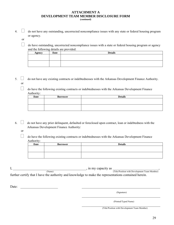#### **ATTACHMENT A DEVELOPMENT TEAM MEMBER DISCLOSURE FORM**

**(continued)** 

 $4. \Box$  do not have any outstanding, uncorrected noncompliance issues with any state or federal housing program or agency.

or

 do have outstanding, uncorrected noncompliance issues with a state or federal housing program or agency and the following details are provided:

| Agency | Date | <b>Details</b> |
|--------|------|----------------|
|        |      |                |
|        |      |                |
|        |      |                |
|        |      |                |

5.  $\Box$  do not have any existing contracts or indebtednesses with the Arkansas Development Finance Authority. or

 $\Box$  do have the following existing contracts or indebtednesses with the Arkansas Development Finance Authority:

| <b>Date</b> | <b>Borrower</b> | <b>Details</b> |
|-------------|-----------------|----------------|
|             |                 |                |
|             |                 |                |
|             |                 |                |
|             |                 |                |

6.  $\Box$  do not have any prior delinquent, defaulted or foreclosed upon contract, loan or indebtedness with the Arkansas Development Finance Authority:

or

 $\Box$  do have the following existing contracts or indebtednesses with the Arkansas Development Finance Authority:

| Date | <b>Borrower</b> | <b>Details</b> |
|------|-----------------|----------------|
|      |                 |                |
|      |                 |                |
|      |                 |                |
|      |                 |                |

I, \_\_\_\_\_\_\_\_\_\_\_\_\_\_\_\_\_\_\_\_\_\_\_\_\_\_\_\_\_\_\_\_\_\_\_\_\_\_\_\_\_\_\_, in my capacity as \_\_\_\_\_\_\_\_\_\_\_\_\_\_\_\_\_\_\_\_\_\_\_\_\_\_\_, (Name) (Title/Position with Development Team Member) further certify that I have the authority and knowledge to make the representations contained herein.

Date:

 (Signature)  $\mathcal{L}_\text{max}$  , and the contract of the contract of the contract of the contract of the contract of the contract of the contract of the contract of the contract of the contract of the contract of the contract of the contr

(Printed/Typed Name)

 $\mathcal{L}_\text{max}$  and the contract of the contract of the contract of the contract of the contract of the contract of the contract of the contract of the contract of the contract of the contract of the contract of the contrac (Title/Position with Development Team Member)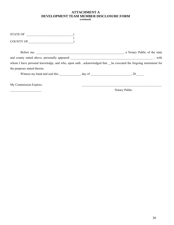### **ATTACHMENT A DEVELOPMENT TEAM MEMBER DISCLOSURE FORM**

**(continued)** 

| STATE OF                                                                                                      |               |
|---------------------------------------------------------------------------------------------------------------|---------------|
| COUNTY OF                                                                                                     |               |
|                                                                                                               |               |
|                                                                                                               |               |
| whom I have personal knowledge, and who, upon oath, acknowledged that he executed the forgoing instrument for |               |
| the purposes stated therein.                                                                                  |               |
|                                                                                                               |               |
| My Commission Expires:                                                                                        |               |
|                                                                                                               | Notary Public |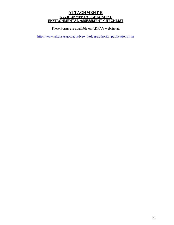### **ATTACHMENT B ENVIRONMENTAL CHECKLIST ENVIRONMENTAL ASSESSMENT CHECKLIST**

These Forms are available on ADFA's website at:

http://www.arkansas.gov/adfa/New\_Folder/authority\_publications.htm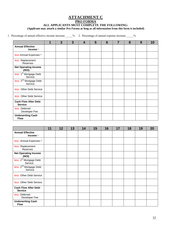### **ATTACHMENT C**

#### **PRO FORMA**

#### **ALL APPLICANTS MUST COMPLETE THE FOLLOWING:**

**(Applicant may attach a similar Pro Forma as long as all information from this form is included)** 

1. Percentage of annual effective income increase \_\_\_\_\_% 2. Percentage of annual expense increase \_\_\_\_\_%

|                                               | $\mathbf 1$ | $\overline{2}$ | 3 | 4 | 5 | $6\phantom{1}6$ | 7 | 8 | 9 | 10 |
|-----------------------------------------------|-------------|----------------|---|---|---|-----------------|---|---|---|----|
| <b>Annual Effective</b><br>Income $1$         |             |                |   |   |   |                 |   |   |   |    |
| less Annual Expenses <sup>2</sup>             |             |                |   |   |   |                 |   |   |   |    |
| less Replacement<br>Reserves                  |             |                |   |   |   |                 |   |   |   |    |
| <b>Net Operating Income</b><br>(NOI)          |             |                |   |   |   |                 |   |   |   |    |
| less 1 <sup>st</sup> Mortgage Debt<br>Service |             |                |   |   |   |                 |   |   |   |    |
| less 2 <sup>nd</sup> Mortgage Debt<br>Service |             |                |   |   |   |                 |   |   |   |    |
| less Other Debt Service                       |             |                |   |   |   |                 |   |   |   |    |
| less Other Debt Service                       |             |                |   |   |   |                 |   |   |   |    |
| <b>Cash Flow After Debt</b><br><b>Service</b> |             |                |   |   |   |                 |   |   |   |    |
| less Deferred<br>Developer Fee                |             |                |   |   |   |                 |   |   |   |    |
| <b>Underwriting Cash</b><br><b>Flow</b>       |             |                |   |   |   |                 |   |   |   |    |

|                                               | 11 | 12 | 13 | 14 | 15 | 16 | 17 | 18 | 19 | 20 |
|-----------------------------------------------|----|----|----|----|----|----|----|----|----|----|
| <b>Annual Effective</b><br>Income $1$         |    |    |    |    |    |    |    |    |    |    |
| less Annual Expenses <sup>2</sup>             |    |    |    |    |    |    |    |    |    |    |
| less Replacement<br>Reserves                  |    |    |    |    |    |    |    |    |    |    |
| <b>Net Operating Income</b><br>(NOI)          |    |    |    |    |    |    |    |    |    |    |
| less 1 <sup>st</sup> Mortgage Debt<br>Service |    |    |    |    |    |    |    |    |    |    |
| less 2 <sup>nd</sup> Mortgage Debt<br>Service |    |    |    |    |    |    |    |    |    |    |
| less Other Debt Service                       |    |    |    |    |    |    |    |    |    |    |
| less Other Debt Service                       |    |    |    |    |    |    |    |    |    |    |
| <b>Cash Flow After Debt</b><br><b>Service</b> |    |    |    |    |    |    |    |    |    |    |
| less Deferred<br>Developer Fee                |    |    |    |    |    |    |    |    |    |    |
| <b>Underwriting Cash</b><br><b>Flow</b>       |    |    |    |    |    |    |    |    |    |    |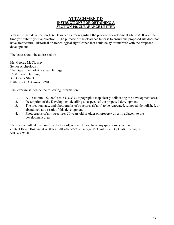#### **ATTACHMENT D INSTRUCTIONS FOR OBTAINING A SECTION 106 CLEARANCE LETTER**

You must include a Section 106 Clearance Letter regarding the proposed development site to ADFA at the time you submit your application. The purpose of the clearance letter is to ensure the proposed site does not have architectural, historical or archeological significance that could delay or interfere with the proposed development.

The letter should be addressed to:

Mr. George McCluskey Senior Archeologist The Department of Arkansas Heritage 1500 Tower Building 323 Center Street Little Rock, Arkansas 72201

The letter must include the following information:

- 1. A 7.5 minute 1:24,000 scale U.S.G.S. topographic map clearly delineating the development area.
- 2. Description of the Development detailing all aspects of the proposed development.
- 3. The location, age, and photographs of structures (if any) to be renovated, removed, demolished, or abandoned as a result of this development.
- 4. Photographs of any structures 50 years old or older on property directly adjacent to the development area.

The review will take approximately four (4) weeks. If you have any questions, you may contact Bruce Bokony at ADFA at 501.682.5927 or George McCluskey at Dept. AR Heritage at 501.324.9880.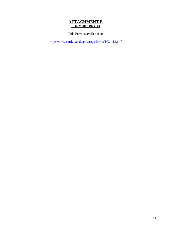### **ATTACHMENT E FORM RD 1924-13**

This Form is available at:

http://www.rurdev.usda.gov/regs/forms/1924-13.pdf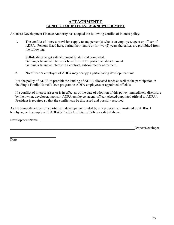### **ATTACHMENT F CONFLICT OF INTEREST ACKNOWLEDGMENT**

Arkansas Development Finance Authority has adopted the following conflict of interest policy:

1. The conflict of interest provisions apply to any person(s) who is an employee, agent or officer of ADFA. Persons listed here, during their tenure or for two (2) years thereafter, are prohibited from the following:

Self-dealings to get a development funded and completed. Gaining a financial interest or benefit from the participant development. Gaining a financial interest in a contract, subcontract or agreement.

2. No officer or employee of ADFA may occupy a participating development unit.

It is the policy of ADFA to prohibit the lending of ADFA allocated funds as well as the participation in the Single Family HomeToOwn program to ADFA employees or appointed officials.

If a conflict of interest arises or is in effect as of the date of adoption of this policy, immediately disclosure by the owner, developer, sponsor, ADFA employee, agent, officer, elected/appointed official to ADFA's President is required so that the conflict can be discussed and possibly resolved.

As the owner/developer of a participant development funded by any program administered by ADFA, I hereby agree to comply with ADFA's Conflict of Interest Policy as stated above.

Development Name:

 $\overline{\phantom{a}}$  , where  $\overline{\phantom{a}}$  , where  $\overline{\phantom{a}}$  , where  $\overline{\phantom{a}}$ 

Owner/Developer

Date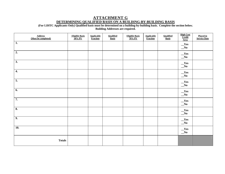#### **ATTACHMENT G DETERMINING QUALIFIED BASIS ON A BUILDING-BY-BUILDING BASIS**

**(For LIHTC Applicants Only) Qualified basis must be determined on a building-by-building basis. Complete the section below.** 

**Building Addresses are required.** 

| <b>Address</b><br>(Must be completed) | <b>Eligible Basis</b><br>30% PV | <b>Applicable</b><br>Fraction | <b>Qualified</b><br><b>Basis</b> | <b>Eligible Basis</b><br>70% PV | <b>Applicable</b><br><b>Fraction</b> | <b>Oualified</b><br><b>Basis</b> | <b>High Cost</b><br>Credit<br>Area | <b>Placed in</b><br><b>Service Date</b> |
|---------------------------------------|---------------------------------|-------------------------------|----------------------------------|---------------------------------|--------------------------------------|----------------------------------|------------------------------------|-----------------------------------------|
| 1.                                    |                                 |                               |                                  |                                 |                                      |                                  | $\mathbf{Yes}$<br>$\sqrt{N_0}$     |                                         |
| $\overline{2}$ .                      |                                 |                               |                                  |                                 |                                      |                                  | Yes<br>$\sqrt{N_0}$                |                                         |
| $\overline{3.}$                       |                                 |                               |                                  |                                 |                                      |                                  | $\mathbf{Yes}$<br>$\sqrt{N_0}$     |                                         |
| 4.                                    |                                 |                               |                                  |                                 |                                      |                                  | $\mathbf{Yes}$<br>$\sqrt{N_0}$     |                                         |
| $\overline{5}$ .                      |                                 |                               |                                  |                                 |                                      |                                  | Yes<br>$\sqrt{N_0}$                |                                         |
| 6.                                    |                                 |                               |                                  |                                 |                                      |                                  | $\mathbf{Yes}$<br>$\sqrt{N_0}$     |                                         |
| 7.                                    |                                 |                               |                                  |                                 |                                      |                                  | Yes<br>$\sqrt{N_0}$                |                                         |
| 8.                                    |                                 |                               |                                  |                                 |                                      |                                  | $\mathbf{Yes}$<br>$\sqrt{N_0}$     |                                         |
| $\overline{9}$ .                      |                                 |                               |                                  |                                 |                                      |                                  | Yes<br>$\sqrt{N_0}$                |                                         |
| 10.                                   |                                 |                               |                                  |                                 |                                      |                                  | $\mathbf{Yes}$<br>$\sqrt{N_0}$     |                                         |
| <b>Totals</b>                         |                                 |                               |                                  |                                 |                                      |                                  |                                    |                                         |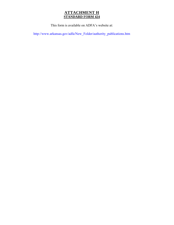### **ATTACHMENT H STANDARD FORM 424**

This form is available on ADFA's website at:

http://www.arkansas.gov/adfa/New\_Folder/authority\_publications.htm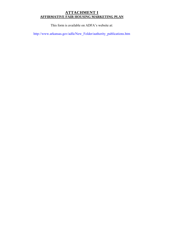#### **ATTACHMENT I AFFIRMATIVE FAIR HOUSING MARKETING PLAN**

This form is available on ADFA's website at:

http://www.arkansas.gov/adfa/New\_Folder/authority\_publications.htm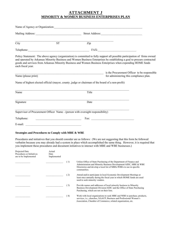#### **ATTACHMENT J MINORITY & WOMEN BUSINESS ENTERPRISES PLAN**

| Name of Agency or Organization:                                                                   |                        |                  |                                                                                                                                                                                                                                                                                                                                                                    |
|---------------------------------------------------------------------------------------------------|------------------------|------------------|--------------------------------------------------------------------------------------------------------------------------------------------------------------------------------------------------------------------------------------------------------------------------------------------------------------------------------------------------------------------|
|                                                                                                   |                        |                  |                                                                                                                                                                                                                                                                                                                                                                    |
| City                                                                                              | $\overline{\text{ST}}$ | $\overline{Zip}$ |                                                                                                                                                                                                                                                                                                                                                                    |
|                                                                                                   |                        |                  | Telephone: FAX: FAX:                                                                                                                                                                                                                                                                                                                                               |
| each fiscal year.                                                                                 |                        |                  | Policy Statement: The above agency (organization) is committed to fully support all possible participation of firms owned<br>and operated by Arkansas Minority Business and Women Business Enterprises by establishing a goal to procure contracted<br>goods and services from Arkansas Minority Business and Women Business Enterprises when expending HOME funds |
| Name (please print)                                                                               |                        |                  | is the Procurement Officer to be responsible<br>for administering this compliance plan.                                                                                                                                                                                                                                                                            |
| Name of highest elected official (mayor, county , judge or chairman of the board of a non-profit) |                        |                  |                                                                                                                                                                                                                                                                                                                                                                    |
| Name                                                                                              |                        | Title            |                                                                                                                                                                                                                                                                                                                                                                    |
| Signature                                                                                         |                        | Date             |                                                                                                                                                                                                                                                                                                                                                                    |
| Supervisor of Procurement Officer Name - (person with oversight responsibility)                   |                        |                  |                                                                                                                                                                                                                                                                                                                                                                    |
|                                                                                                   |                        |                  |                                                                                                                                                                                                                                                                                                                                                                    |
|                                                                                                   |                        |                  |                                                                                                                                                                                                                                                                                                                                                                    |
| <b>Strategies and Procedures to Comply with MBE &amp; WBE</b>                                     |                        |                  |                                                                                                                                                                                                                                                                                                                                                                    |

Procedures and initiatives that you should consider are as follows: (We are not suggesting that this form be followed verbatim because you may already had a system in place which accomplished the same thing. However, it is required that you implement these procedures and document initiatives to interact with MBE and WBE businesses.)

#### Projected Date Actual Procedures or Initiatives Date<br>are to be Implemented Implemented are to be Implemented \_\_\_\_\_\_\_\_\_\_\_\_\_ \_\_\_\_\_\_\_\_\_\_\_\_\_\_\_ ( 1) Utilize Office of State Purchasing of the Department of Finance and Administration and Minority Business Development/AIDC, MBE & WBE Directories and develop a local list of MBEs/WBEs to use in specific communities. \_\_\_\_\_\_\_\_\_\_\_\_\_ \_\_\_\_\_\_\_\_\_\_\_\_\_\_\_ ( 2) Attend and/or participate in local Economic Development Meetings at least once annually during the fiscal year in which HOME funds are used used to seek minority vendors. \_\_\_\_\_\_\_\_\_\_\_\_\_ \_\_\_\_\_\_\_\_\_\_\_\_\_\_\_ ( 3) Provide names and addresses of local minority business to Minority Business Development Division/AIDC and the Office of State Purchasing Purchasing, which are not on their lists. \_\_\_\_\_\_\_\_\_\_\_\_\_ \_\_\_\_\_\_\_\_\_\_\_\_\_\_\_ ( 4) Work with local organizations to seek MBE and WBE to purchase, products, services, i.e., churches, NAACP, Business and Professional Women's Association, Chamber of Commerce, related organization, etc.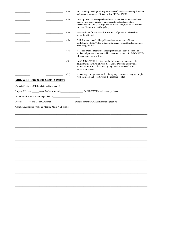|                                               | (5)  | Hold monthly meetings with appropriate staff to discuss accomplishments<br>and promote increased efforts to utilize MBE and WBE.                                                                                                                                    |
|-----------------------------------------------|------|---------------------------------------------------------------------------------------------------------------------------------------------------------------------------------------------------------------------------------------------------------------------|
|                                               | (6)  | Develop list of common goods and services that known MBE and WBE<br>can provide, i.e., contractors, lenders, realtors, legal consultants,<br>specialty contractors such as plumbers, electricians, roofers, landscapers,<br>etc., and discuss with staff regularly. |
|                                               | (7)  | Have available for MBEs and WBEs a list of products and services<br>normally let to bid.                                                                                                                                                                            |
|                                               | (8)  | Publish statement of public policy and commitment to affirmative<br>marketing to MBEs/WBEs in the print media of widest local circulation.<br>Retain copy in file.                                                                                                  |
|                                               | (9)  | Place ads or announcements in local print and/or electronic media to<br>market and promote contract and business opportunities for MBEs/WBEs.<br>Clip and retain copy in file.                                                                                      |
|                                               | (10) | Notify MBEs/WBEs by direct mail of all awards or agreements for<br>developments involving five or more units. Describe activity and<br>number of units to be developed giving name, address of owner,<br>manager or sponsor.                                        |
|                                               | (11) | Include any other procedures that the agency deems necessary to comply<br>with the goals and objectives of the compliance plan.                                                                                                                                     |
| <b>MBE/WBE Purchasing Goals in Dollars</b>    |      |                                                                                                                                                                                                                                                                     |
| Projected Total HOME Funds to be Expended: \$ |      |                                                                                                                                                                                                                                                                     |
|                                               |      |                                                                                                                                                                                                                                                                     |
| Actual Total HOME Funds Expended: \$          |      |                                                                                                                                                                                                                                                                     |
|                                               |      |                                                                                                                                                                                                                                                                     |
|                                               |      |                                                                                                                                                                                                                                                                     |
|                                               |      |                                                                                                                                                                                                                                                                     |
|                                               |      |                                                                                                                                                                                                                                                                     |
|                                               |      |                                                                                                                                                                                                                                                                     |
|                                               |      |                                                                                                                                                                                                                                                                     |
|                                               |      |                                                                                                                                                                                                                                                                     |
|                                               |      |                                                                                                                                                                                                                                                                     |
|                                               |      |                                                                                                                                                                                                                                                                     |
|                                               |      |                                                                                                                                                                                                                                                                     |
|                                               |      |                                                                                                                                                                                                                                                                     |
|                                               |      |                                                                                                                                                                                                                                                                     |
|                                               |      |                                                                                                                                                                                                                                                                     |
|                                               |      |                                                                                                                                                                                                                                                                     |
|                                               |      |                                                                                                                                                                                                                                                                     |
|                                               |      |                                                                                                                                                                                                                                                                     |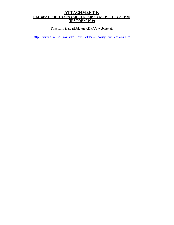#### **ATTACHMENT K REQUEST FOR TAXPAYER ID NUMBER & CERTIFICATION (IRS FORM W-9)**

This form is available on ADFA's website at:

http://www.arkansas.gov/adfa/New\_Folder/authority\_publications.htm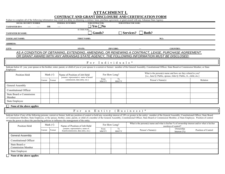## **ATTACHMENT L CONTRACT AND GRANT DISCLOSURE AND CERTIFICATION FORM**

|                                                                                              |           |                  | Failure to complete all of the following information may result in a delay in obtaining a contract, lease, purchase agreement, or grant award with any Arkansas State Agency.                                                                                                                                                                                                                                                                                 |                                                                                                                                           |                  |                            |                                                                                                                                 |                               |                     |
|----------------------------------------------------------------------------------------------|-----------|------------------|---------------------------------------------------------------------------------------------------------------------------------------------------------------------------------------------------------------------------------------------------------------------------------------------------------------------------------------------------------------------------------------------------------------------------------------------------------------|-------------------------------------------------------------------------------------------------------------------------------------------|------------------|----------------------------|---------------------------------------------------------------------------------------------------------------------------------|-------------------------------|---------------------|
| <b>SOCIAL SECURITY NUMBER</b>                                                                |           |                  | <b>FEDERAL ID NUMBER</b>                                                                                                                                                                                                                                                                                                                                                                                                                                      | <b>SUBCONTRACTOR:</b>                                                                                                                     |                  | <b>SUBCONTRACTOR NAME:</b> |                                                                                                                                 |                               |                     |
| <b>TAXPAYER ID#:</b><br>1.11<br>----                                                         | <b>OR</b> |                  | $\cdots$                                                                                                                                                                                                                                                                                                                                                                                                                                                      | $\top$ Yes $\Box$ No                                                                                                                      |                  |                            |                                                                                                                                 |                               |                     |
| <b>TAXPAYER ID NAME:</b>                                                                     |           |                  | IS THIS FOR:                                                                                                                                                                                                                                                                                                                                                                                                                                                  | Goods?                                                                                                                                    |                  | $\Box$ Services?           | Both?                                                                                                                           |                               |                     |
| YOUR LAST NAME:<br><b>FIRST NAME:</b><br>M.I.:                                               |           |                  |                                                                                                                                                                                                                                                                                                                                                                                                                                                               |                                                                                                                                           |                  |                            |                                                                                                                                 |                               |                     |
| <b>ADDRESS:</b>                                                                              |           |                  |                                                                                                                                                                                                                                                                                                                                                                                                                                                               |                                                                                                                                           |                  |                            |                                                                                                                                 |                               |                     |
| <b>STATE:</b><br><b>ZIP CODE:</b><br>CITY:<br><b>COUNTRY:</b>                                |           |                  |                                                                                                                                                                                                                                                                                                                                                                                                                                                               |                                                                                                                                           |                  |                            |                                                                                                                                 |                               |                     |
|                                                                                              |           |                  | AS A CONDITION OF OBTAINING, EXTENDING, AMENDING, OR RENEWING A CONTRACT, LEASE, PURCHASE AGREEMENT,<br>OR GRANT AWARD WITH ANY ARKANSAS STATE AGENCY. THE FOLLOWING INFORMATION MUST BE DISCLOSED:                                                                                                                                                                                                                                                           |                                                                                                                                           |                  |                            |                                                                                                                                 |                               |                     |
|                                                                                              |           |                  |                                                                                                                                                                                                                                                                                                                                                                                                                                                               |                                                                                                                                           | For Individuals* |                            |                                                                                                                                 |                               |                     |
| Employee:                                                                                    |           |                  | Indicate below if: you, your spouse or the brother, sister, parent, or child of you or your spouse is a current or former: member of the General Assembly, Constitutional Officer, State Board or Commission Member, or State                                                                                                                                                                                                                                 |                                                                                                                                           |                  |                            |                                                                                                                                 |                               |                     |
| Mark $(\forall)$<br>Position Held                                                            |           |                  | Name of Position of Job Held<br>[senator, representative, name of board/                                                                                                                                                                                                                                                                                                                                                                                      | For How Long?                                                                                                                             |                  |                            | What is the person(s) name and how are they related to you?<br>[i.e., Jane Q. Public, spouse, John Q. Public, Jr., child, etc.] |                               |                     |
|                                                                                              | Current   | Former           | commission, data entry, etc.]                                                                                                                                                                                                                                                                                                                                                                                                                                 | From<br>MM/YY                                                                                                                             | To<br>MM/YY      | Person's Name(s)           |                                                                                                                                 | Relation                      |                     |
| General Assembly                                                                             |           |                  |                                                                                                                                                                                                                                                                                                                                                                                                                                                               |                                                                                                                                           |                  |                            |                                                                                                                                 |                               |                     |
| <b>Constitutional Officer</b>                                                                |           |                  |                                                                                                                                                                                                                                                                                                                                                                                                                                                               |                                                                                                                                           |                  |                            |                                                                                                                                 |                               |                     |
| <b>State Board or Commission</b><br>Member                                                   |           |                  |                                                                                                                                                                                                                                                                                                                                                                                                                                                               |                                                                                                                                           |                  |                            |                                                                                                                                 |                               |                     |
| <b>State Employee</b>                                                                        |           |                  |                                                                                                                                                                                                                                                                                                                                                                                                                                                               |                                                                                                                                           |                  |                            |                                                                                                                                 |                               |                     |
| None of the above applies                                                                    |           |                  |                                                                                                                                                                                                                                                                                                                                                                                                                                                               |                                                                                                                                           |                  |                            |                                                                                                                                 |                               |                     |
|                                                                                              |           |                  | F o r<br>a n                                                                                                                                                                                                                                                                                                                                                                                                                                                  | Entity                                                                                                                                    |                  | Business)                  |                                                                                                                                 |                               |                     |
| means the power to direct the purchasing policies or influence the management of the entity. |           |                  | Indicate below if any of the following persons, current or former, hold any position of control or hold any ownership interest of 10% or greater in the entity: member of the General Assembly, Constitutional Officer, State<br>or Commission Member, State Employee, or the spouse, brother, sister, parent, or child of a member of the General Assembly, Constitutional Officer, State Board or Commission Member, or State Employee. Position of control |                                                                                                                                           |                  |                            |                                                                                                                                 |                               |                     |
| Position Held                                                                                |           | Mark $(\sqrt{})$ | Name of Position of Job Held                                                                                                                                                                                                                                                                                                                                                                                                                                  | What is the person(s) name and what is his/her $\%$ of ownership interest and/or what is his/her<br>For How Long?<br>position of control? |                  |                            |                                                                                                                                 |                               |                     |
|                                                                                              | Current   | Former           | [senator, representative, name of<br>board/commission, data entry, etc.]                                                                                                                                                                                                                                                                                                                                                                                      | From<br>MM/YY                                                                                                                             | To<br>MM/YY      |                            | Person's Name(s)                                                                                                                | Ownership<br>Interest $(\% )$ | Position of Control |
| <b>General Assembly</b>                                                                      |           |                  |                                                                                                                                                                                                                                                                                                                                                                                                                                                               |                                                                                                                                           |                  |                            |                                                                                                                                 |                               |                     |
| <b>Constitutional Officer</b>                                                                |           |                  |                                                                                                                                                                                                                                                                                                                                                                                                                                                               |                                                                                                                                           |                  |                            |                                                                                                                                 |                               |                     |
| State Board or<br><b>Commission Member</b>                                                   |           |                  |                                                                                                                                                                                                                                                                                                                                                                                                                                                               |                                                                                                                                           |                  |                            |                                                                                                                                 |                               |                     |
| <b>State Employee</b>                                                                        |           |                  |                                                                                                                                                                                                                                                                                                                                                                                                                                                               |                                                                                                                                           |                  |                            |                                                                                                                                 |                               |                     |
| None of the above annlies                                                                    |           |                  |                                                                                                                                                                                                                                                                                                                                                                                                                                                               |                                                                                                                                           |                  |                            |                                                                                                                                 |                               |                     |

**None of the above applies**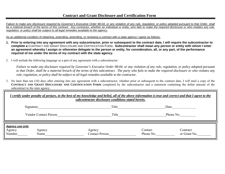*Failure to make any disclosure required by Governor's Executive Order 98-04, or any violation of any rule, regulation, or policy adopted pursuant to that Order, shall be a material breach of the terms of this contract. Any contractor, whether an individual or entity, who fails to make the required disclosure or who violates any rule, regulation, or policy shall be subject to all legal remedies available to the agency.*

As an additional condition of obtaining, extending, amending, or renewing a contract with a *state agency* I agree as follows:

- **1. Prior to entering into any agreement with any subcontractor, prior or subsequent to the contract date, I will require the subcontractor to complete a** CONTRACT AND GRANT DISCLOSURE AND CERTIFICATION FORM**. Subcontractor shall mean any person or entity with whom I enter an agreement whereby I assign or otherwise delegate to the person or entity, for consideration, all, or any part, of the performance required of me under the terms of my contract with the state agency.**
- 2. I will include the following language as a part of any agreement with a subcontractor:

 *Failure to make any disclosure required by Governor's Executive Order 98-04, or any violation of any rule, regulation, or policy adopted pursuant to that Order, shall be a material breach of the terms of this subcontract. The party who fails to make the required disclosure or who violates any rule, regulation, or policy shall be subject to all legal remedies available to the contractor.* 

3. No later than ten (10) days after entering into any agreement with a subcontractor, whether prior or subsequent to the contract date, I will mail a copy of the **CONTRACT AND GRANT DISCLOSURE AND CERTIFICATION FORM** completed by the subcontractor and a statement containing the dollar amount of the subcontract to the state agency.

|                                            | I certify under penalty of perjury, to the best of my knowledge and belief, all of the above information is true and correct and that I agree to the<br>subcontractor disclosure conditions stated herein. |                                 |                      |                          |  |  |  |
|--------------------------------------------|------------------------------------------------------------------------------------------------------------------------------------------------------------------------------------------------------------|---------------------------------|----------------------|--------------------------|--|--|--|
|                                            | Signature                                                                                                                                                                                                  | Title                           | Date                 |                          |  |  |  |
| <b>Vendor Contact Person</b>               |                                                                                                                                                                                                            | Title                           |                      | Phone No.                |  |  |  |
| <b>Agency use only</b><br>Agency<br>Number | Agency<br>Name                                                                                                                                                                                             | Agency<br><b>Contact Person</b> | Contact<br>Phone No. | Contract<br>or Grant No. |  |  |  |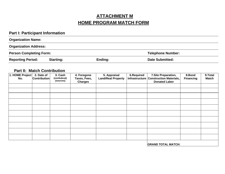### **ATTACHMENT M HOME PROGRAM MATCH FORM**

### **Part I: Participant Information**

| <b>Organization Name:</b>                                  |                  |         |                        |  |  |  |  |
|------------------------------------------------------------|------------------|---------|------------------------|--|--|--|--|
| <b>Organization Address:</b>                               |                  |         |                        |  |  |  |  |
| <b>Person Completing Form:</b><br><b>Telephone Number:</b> |                  |         |                        |  |  |  |  |
| <b>Reporting Period:</b>                                   | <b>Starting:</b> | Ending: | <b>Date Submitted:</b> |  |  |  |  |

#### **Part II: Match Contribution**

| 1. HOME Project<br>No. | 2. Date of<br><b>Contribution</b> | 3. Cash<br>(nonfederal)<br>(sources) | 4. Foregone<br>Taxes, Fees,<br><b>Charges</b> | 5. Appraisal<br><b>Land/Real Property</b> | <b>6.Required</b><br>Infrastructure | 7. Site Preparation,<br><b>Construction Materials,</b><br><b>Donated Labor</b> | 8.Bond<br><b>Financing</b> | 9.Total<br><b>Match</b> |
|------------------------|-----------------------------------|--------------------------------------|-----------------------------------------------|-------------------------------------------|-------------------------------------|--------------------------------------------------------------------------------|----------------------------|-------------------------|
|                        |                                   |                                      |                                               |                                           |                                     |                                                                                |                            |                         |
|                        |                                   |                                      |                                               |                                           |                                     |                                                                                |                            |                         |
|                        |                                   |                                      |                                               |                                           |                                     |                                                                                |                            |                         |
|                        |                                   |                                      |                                               |                                           |                                     |                                                                                |                            |                         |
|                        |                                   |                                      |                                               |                                           |                                     |                                                                                |                            |                         |
|                        |                                   |                                      |                                               |                                           |                                     |                                                                                |                            |                         |
|                        |                                   |                                      |                                               |                                           |                                     |                                                                                |                            |                         |
|                        |                                   |                                      |                                               |                                           |                                     |                                                                                |                            |                         |
|                        |                                   |                                      |                                               |                                           |                                     |                                                                                |                            |                         |
|                        |                                   |                                      |                                               |                                           |                                     |                                                                                |                            |                         |
|                        |                                   |                                      |                                               |                                           |                                     |                                                                                |                            |                         |

**GRAND TOTAL MATCH:**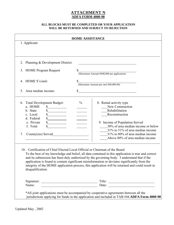### **ATTACHMENT N ADFA FORM 4000-98**

#### **ALL BLOCKS MUST BE COMPLETED OR YOUR APPLICATION WILL BE RETURNED AND SUBJECT TO REJECTION**

| 1. Applicant:                                                                                                                             | <b>HOME ASSISTANCE</b>                                                                                                                                                                                                                                                                                                                                                                                                                                                                                                                                                                                                                                                                                                                                                      |
|-------------------------------------------------------------------------------------------------------------------------------------------|-----------------------------------------------------------------------------------------------------------------------------------------------------------------------------------------------------------------------------------------------------------------------------------------------------------------------------------------------------------------------------------------------------------------------------------------------------------------------------------------------------------------------------------------------------------------------------------------------------------------------------------------------------------------------------------------------------------------------------------------------------------------------------|
|                                                                                                                                           |                                                                                                                                                                                                                                                                                                                                                                                                                                                                                                                                                                                                                                                                                                                                                                             |
| 2. Planning & Development District:                                                                                                       | <u> 1989 - Johann Barbara, martxa alemaniar a</u>                                                                                                                                                                                                                                                                                                                                                                                                                                                                                                                                                                                                                                                                                                                           |
| 3. HOME Program Request                                                                                                                   | \$<br>(Maximum Amount \$400,000 per application)                                                                                                                                                                                                                                                                                                                                                                                                                                                                                                                                                                                                                                                                                                                            |
| 4. HOME \$'s/unit:                                                                                                                        | Maximum Amount per unit \$40,000.00)                                                                                                                                                                                                                                                                                                                                                                                                                                                                                                                                                                                                                                                                                                                                        |
| 5. Area median income:                                                                                                                    |                                                                                                                                                                                                                                                                                                                                                                                                                                                                                                                                                                                                                                                                                                                                                                             |
| 6. Total Development Budget:<br>a. HOME<br>\$<br>b. State<br>c. Local<br>d. Federal<br>e. Private<br>f. Total<br>County(ies) Served<br>7. | $\frac{0}{0}$<br>8. Rental activity type<br>New Construction<br>Rehabilitation<br>Reconstruction<br>9. Income of Population Served<br>30% of area median income or below<br>31% to 51% of area median income<br>51% to 80% of area median income<br>Above 80% of area median income<br>10. Certification of Chief Elected Local Official or Chairman of the Board<br>To the best of my knowledge and belief, all data contained in this application is true and correct<br>and its submission has been duly authorized by the governing body. I understand that if the<br>application is found to contain significant misinformation or deviates significantly from the<br>integrity of the HOME application process, this application will be returned and could result in |
| disqualification.                                                                                                                         |                                                                                                                                                                                                                                                                                                                                                                                                                                                                                                                                                                                                                                                                                                                                                                             |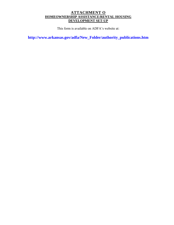### **ATTACHMENT O HOMEOWNERSHIP ASSISTANCE/RENTAL HOUSING DEVELOPMENT SET-UP**

This form is available on ADFA's website at:

**http://www.arkansas.gov/adfa/New\_Folder/authority\_publications.htm**